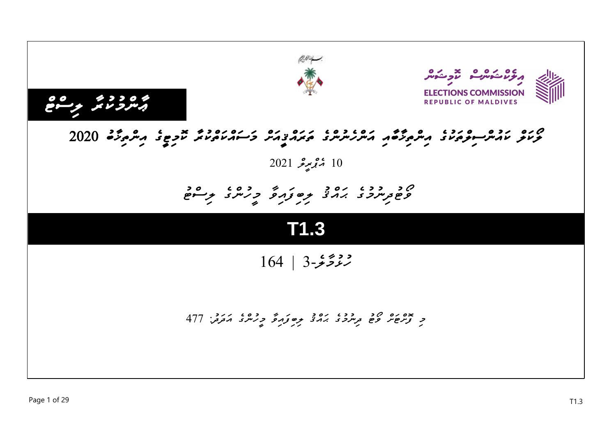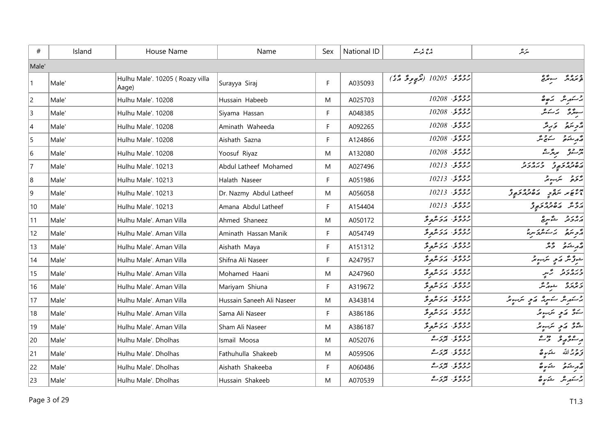| #               | Island | House Name                               | Name                      | Sex | <b>National ID</b> | ، ه ، بر <u>م</u>                           | ىئرىتر                        |
|-----------------|--------|------------------------------------------|---------------------------|-----|--------------------|---------------------------------------------|-------------------------------|
| Male'           |        |                                          |                           |     |                    |                                             |                               |
| 1               | Male'  | Hulhu Male'. 10205 (Roazy villa<br>Aage) | Surayya Siraj             | F   | A035093            | ر د د د . 10205 (ټرې موڅه م <sup>د</sup> ی) | وره و سروه<br>فرمزمر سومرقع   |
| $ 2\rangle$     | Male'  | Hulhu Male'. 10208                       | Hussain Habeeb            | M   | A025703            | 10208.533                                   | $601 - 912$                   |
| $\vert$ 3       | Male'  | Hulhu Male'. 10208                       | Siyama Hassan             | F   | A048385            | 10208.533                                   | سەرگە ئەسەر                   |
| $\overline{4}$  | Male'  | Hulhu Male'. 10208                       | Aminath Waheeda           | F   | A092265            | 10208.5522                                  | أأدبتكم وكبائر                |
| $\overline{5}$  | Male'  | Hulhu Male'. 10208                       | Aishath Sazna             | F   | A124866            | 10208.5533                                  | ۇرمىنى سىزىر                  |
| $6\overline{6}$ | Male'  | Hulhu Male'. 10208                       | Yoosuf Riyaz              | M   | A132080            | 10208.533                                   | در ده په په پ                 |
| $\vert$ 7       | Male'  | Hulhu Male'. 10213                       | Abdul Latheef Mohamed     | M   | A027496            | 10213.5522                                  | גם כסבת כביר בגריב            |
| 8               | Male'  | Hulhu Male'. 10213                       | Halath Naseer             | F   | A051986            | 10213.5522                                  | بركومي الكرسومر               |
| 9               | Male'  | Hulhu Male'. 10213                       | Dr. Nazmy Abdul Latheef   | M   | A056058            | $10213.$ \$\$\$\$                           | צפע תם הסיפורים               |
| 10              | Male'  | Hulhu Male'. 10213                       | Amana Abdul Latheef       | F   | A154404            | 10213.5522                                  | رو و ده ده دو و               |
| 11              | Male'  | Hulhu Male'. Aman Villa                  | Ahmed Shaneez             | M   | A050172            | ووم، رره وي                                 | أرور والمحسن                  |
| 12              | Male'  | Hulhu Male'. Aman Villa                  | Aminath Hassan Manik      | F   | A054749            | وود ، دره در                                | أأوسم كالمستشر والمراد        |
| 13              | Male'  | Hulhu Male'. Aman Villa                  | Aishath Maya              | F   | A151312            | وود ، دره دیگر                              | وكرد و و د                    |
| 14              | Male'  | Hulhu Male'. Aman Villa                  | Shifna Ali Naseer         | F   | A247957            | وووي برىر مەھرىگە                           | جووش كالمج الكرسولي           |
| 15              | Male'  | Hulhu Male'. Aman Villa                  | Mohamed Haani             | M   | A247960            | ووو، ئەر ئەھرىم                             | ورەرو گېر                     |
| 16              | Male'  | Hulhu Male'. Aman Villa                  | Mariyam Shiuna            | F   | A319672            | ووو، در مورم                                | رەرە شەرىخ                    |
| 17              | Male'  | Hulhu Male'. Aman Villa                  | Hussain Saneeh Ali Naseer | M   | A343814            | وووي دره.<br>رنزونو· مروشونو                | برسكريكل سكبريك كدمج الكرجيكي |
| 18              | Male'  | Hulhu Male'. Aman Villa                  | Sama Ali Naseer           | F   | A386186            | وووي. ئەكەشھەتمە                            | سكركا أركمي الكرسياني         |
| 19              | Male'  | Hulhu Male'. Aman Villa                  | Sham Ali Naseer           | M   | A386187            | وود ، دره در                                | شروع المعلم المسترير          |
| 20              | Male'  | Hulhu Male'. Dholhas                     | Ismail Moosa              | M   | A052076            | وووي بور <u>م</u>                           | ر عۇرپى دىم                   |
| 21              | Male'  | Hulhu Male'. Dholhas                     | Fathuhulla Shakeeb        | M   | A059506            | ووه ، بور <u>ه</u>                          | ترة جرالله شرباءها            |
| 22              | Male'  | Hulhu Male'. Dholhas                     | Aishath Shakeeba          | F   | A060486            | ووه ، بور <u>ه</u>                          | ومرشكم شكرة                   |
| 23              | Male'  | Hulhu Male'. Dholhas                     | Hussain Shakeeb           | M   | A070539            | و و ده ده سور ه<br>رندگان کمیکن ک           | بركسكه سرعه كالمحامدة         |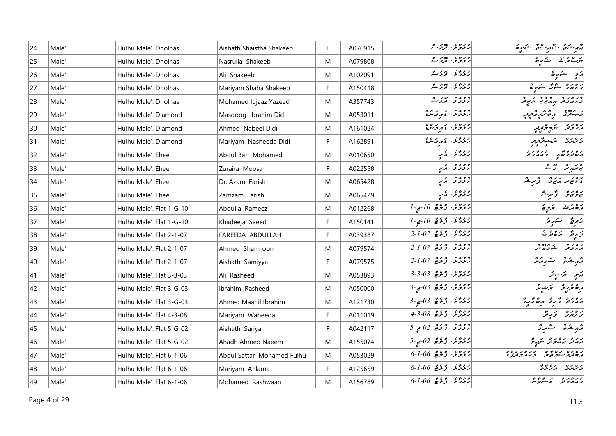| 24           | Male' | Hulhu Male'. Dholhas     | Aishath Shaistha Shakeeb   | F         | A076915 | ووه ، بور <u>ه</u>                                                                                                                                                                                                            | و الأمر يشكور الشركة التجميع الشركة الشركة المحصر المستشركة الشركة الشركة الشركة الشركة الشركة التجميز |
|--------------|-------|--------------------------|----------------------------|-----------|---------|-------------------------------------------------------------------------------------------------------------------------------------------------------------------------------------------------------------------------------|--------------------------------------------------------------------------------------------------------|
| 25           | Male' | Hulhu Male'. Dholhas     | Nasrulla Shakeeb           | M         | A079808 | وو» ، بور <u>ه</u><br>روونو فروگ                                                                                                                                                                                              | <i>مترجو جر</i> الله ش <i>توره</i>                                                                     |
| 26           | Male' | Hulhu Male'. Dholhas     | Ali Shakeeb                | M         | A102091 | ووه ، بور <u>ه</u>                                                                                                                                                                                                            | ړې شره                                                                                                 |
| 27           | Male' | Hulhu Male'. Dholhas     | Mariyam Shaha Shakeeb      | F         | A150418 | ووه ، بور <u>ه</u>                                                                                                                                                                                                            | دەرە شەر خىرە                                                                                          |
| 28           | Male' | Hulhu Male'. Dholhas     | Mohamed Iujaaz Yazeed      | M         | A357743 | و وه ، مور ه<br>رنودگو . توتو ک                                                                                                                                                                                               | ورور و دوره ترېږ                                                                                       |
| 29           | Male' | Hulhu Male'. Diamond     | Masdoog Ibrahim Didi       | M         | A053011 | وووي ، د بره ده                                                                                                                                                                                                               | تەمەدە مەھەر قىرىدىر<br>تەسەندى مەھەر قىرىدى                                                           |
| 30           | Male' | Hulhu Male'. Diamond     | Ahmed Nabeel Didi          | ${\sf M}$ | A161024 | وووي ، بارومو                                                                                                                                                                                                                 | د د د سکه و در د                                                                                       |
| 31           | Male' | Hulhu Male'. Diamond     | Mariyam Nasheeda Didi      | F         | A162891 | وووي ، د بره ده                                                                                                                                                                                                               |                                                                                                        |
| 32           | Male' | Hulhu Male'. Ehee        | Abdul Bari Mohamed         | M         | A010650 | 333 كەربە<br>233 كەربە                                                                                                                                                                                                        | גם כפש כגם בכ<br>הסתכסת כגתכת                                                                          |
| 33           | Male' | Hulhu Male'. Ehee        | Zuraira Moosa              | F.        | A022558 | روژۇ، كې                                                                                                                                                                                                                      | يحمد عمر حيث                                                                                           |
| 34           | Male' | Hulhu Male'. Ehee        | Dr. Azam Farish            | M         | A065428 | وووي.<br>الرندگري کړې                                                                                                                                                                                                         |                                                                                                        |
| 35           | Male' | Hulhu Male'. Ehee        | Zamzam Farish              | M         | A065429 | روژی. ءکریه                                                                                                                                                                                                                   | كالمحصح وحميدهم                                                                                        |
| 36           | Male' | Hulhu Male'. Flat 1-G-10 | Abdulla Rameez             | M         | A012268 | $1 - 10$ وَدَوْعَ $10 - 1$                                                                                                                                                                                                    | مَدْهُ مَدْ مَدَّحِيمَ                                                                                 |
| 37           | Male' | Hulhu Male'. Flat 1-G-10 | Khadeeja Saeed             | F         | A150141 | $1 - 10$ د د د د د مال کاباد د استان د د استان د استان د استان د استان د استان د استان د د استان د استان د استان د استان د استان د استان د استان د استان د استان د استان د استان د استان د استان د استان د استان د استان د اس | أرَمْرِيَّ سَنَهْرٍ مُرْ                                                                               |
| 38           | Male' | Hulhu Male'. Flat 2-1-07 | FAREEDA ABDULLAH           | F         | A039387 | $2 - 1 - 07$ $2 - 9 - 5$                                                                                                                                                                                                      | ترميقر ضصقرالله                                                                                        |
| 39           | Male' | Hulhu Male'. Flat 2-1-07 | Ahmed Sham-oon             | M         | A079574 | $2 - 1 - 07$ $2 - 9$ $3 - 2$                                                                                                                                                                                                  | ره روسره ده ده م                                                                                       |
| 40           | Male' | Hulhu Male'. Flat 2-1-07 | Aishath Samiyya            | E         | A079575 | $2 - 1 - 07$ $2 - 9$ $3 - 2$                                                                                                                                                                                                  | أقرم شكوم سكوره                                                                                        |
| 41           | Male' | Hulhu Male'. Flat 3-3-03 | Ali Rasheed                | M         | A053893 | 3-3-03 $3.93$ $3.3$                                                                                                                                                                                                           | أركمني المركب وتر                                                                                      |
| 42           | Male' | Hulhu Male'. Flat 3-G-03 | Ibrahim Rasheed            | M         | A050000 | 3- قادق قادق كى قال قاد قاد قاد قى قاد قى                                                                                                                                                                                     | رەپرىي بىر<br>سەنبە ئىسىم                                                                              |
| $ 43\rangle$ | Male' | Hulhu Male'. Flat 3-G-03 | Ahmed Maahil Ibrahim       | M         | A121730 | $3 - 03$ د د د د د د ۱۶ ک                                                                                                                                                                                                     | גפנד כיב גם ביני                                                                                       |
| 44           | Male' | Hulhu Male'. Flat 4-3-08 | Mariyam Waheeda            | F         | A011019 | $4 - 3 - 08$ $22$ $3 - 52$                                                                                                                                                                                                    | ره ره در تر                                                                                            |
| 45           | Male' | Hulhu Male'. Flat 5-G-02 | Aishath Sariya             | F         | A042117 | 33 <i>3 - ووف</i> ع 20-ي-5                                                                                                                                                                                                    | ە مەن ئى ئىم ئى                                                                                        |
| 46           | Male' | Hulhu Male'. Flat 5-G-02 | Ahadh Ahmed Naeem          | M         | A155074 | $5 - 02$ وَدَوْعَ $02 - 02$                                                                                                                                                                                                   | أربر وأبرو وأمروح                                                                                      |
| 47           | Male' | Hulhu Male'. Flat 6-1-06 | Abdul Sattar Mohamed Fulhu | M         | A053029 | $6 - 1 - 06$ $22$ $32$                                                                                                                                                                                                        | נסכם נסמים בנסניכים<br>השינה ייחים מייחיבות ל                                                          |
| 48           | Male' | Hulhu Male'. Flat 6-1-06 | Mariyam Ahlama             | F         | A125659 | $6 - 1 - 06$ $22 - 32$                                                                                                                                                                                                        | رەرە رەپپە                                                                                             |
| 49           | Male' | Hulhu Male'. Flat 6-1-06 | Mohamed Rashwaan           | ${\sf M}$ | A156789 | $6 - 1 - 06$ $22$ $32$ $32$                                                                                                                                                                                                   | وره دو در ۱۵۶۵<br>دیربروتر برشوگس                                                                      |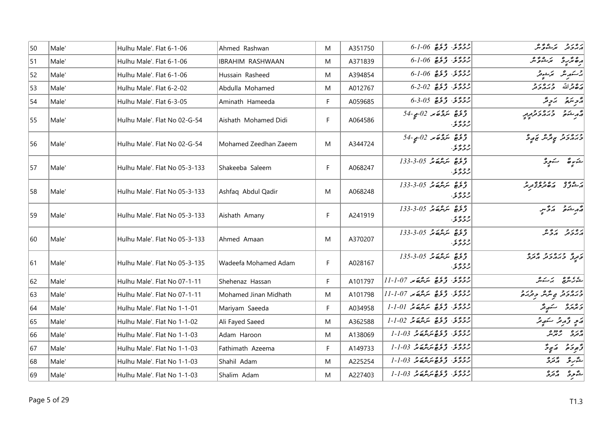| 50 | Male' | Hulhu Male'. Flat 6-1-06      | Ahmed Rashwan         | M         | A351750 | $6 - 1 - 06$ $22 - 32$                                                                        | رەرد بەھ بەھ<br>مەرىر بىرىشو <i>ھ</i> ىر |
|----|-------|-------------------------------|-----------------------|-----------|---------|-----------------------------------------------------------------------------------------------|------------------------------------------|
| 51 | Male' | Hulhu Male'. Flat 6-1-06      | IBRAHIM RASHWAAN      | M         | A371839 | $6 - 1 - 06$ $22 - 32$                                                                        | رە ئرىر ئىشۇش                            |
| 52 | Male' | Hulhu Male'. Flat 6-1-06      | Hussain Rasheed       | M         | A394854 | $6 - 1 - 06$ $22$ $32$                                                                        | برسكهر مكرجومر                           |
| 53 | Male' | Hulhu Male'. Flat 6-2-02      | Abdulla Mohamed       | M         | A012767 | $6 - 2 - 02$ وَوَصَى 20-2-6                                                                   | رە دالله درەرد                           |
| 54 | Male' | Hulhu Male'. Flat 6-3-05      | Aminath Hameeda       | F         | A059685 | $6 - 3 - 05$ $22 - 3 - 5$                                                                     | دوسَع بروتر                              |
| 55 | Male' | Hulhu Male'. Flat No 02-G-54  | Aishath Mohamed Didi  | F         | A064586 | $54$ وع مركزة مركزة بر<br>و و و ء .<br>رنونوگو                                                | ه در وره دورد.<br>مهرشوم وبهروترترتر     |
| 56 | Male' | Hulhu Male'. Flat No 02-G-54  | Mohamed Zeedhan Zaeem | M         | A344724 | $54 - 02$ مَرْحَمَ مَرْدَمَ مَسْتَسْتَفَسَّمَتْ $02 - 12$<br>و و و ء .<br>رند <del>و</del> نو | درورد پرترس پَهرد                        |
| 57 | Male' | Hulhu Male'. Flat No 05-3-133 | Shakeeba Saleem       | F         | A068247 | <i>133-3-05</i> كرم 133-3-4<br>ر و و ي.<br>رند <del>و</del> تو .                              | شَرِيعٌ سَيَجِرْدُ                       |
| 58 | Male' | Hulhu Male'. Flat No 05-3-133 | Ashfaq Abdul Qadir    | M         | A068248 | <b>133-3-05</b> مَرْسْهَة حَدَّ 133-3-45<br>و و و ي.<br>رنونوگو                               | ر وي د د ده د د<br>مشور د ماروژمر        |
| 59 | Male' | Hulhu Male'. Flat No 05-3-133 | Aishath Amany         | F         | A241919 | <b>33-3-05</b> مَرْسْهَة مِنْ 133-3-45<br>و و و ء .<br>رند <del>و</del> نو                    | أقمر شكاة المركاسي                       |
| 60 | Male' | Hulhu Male'. Flat No 05-3-133 | Ahmed Amaan           | ${\sf M}$ | A370207 | <i>133-3-05</i> كرم 133-3-4<br>و و و ء .<br>رند <del>و</del> نو                               | رەرد رۇھ                                 |
| 61 | Male' | Hulhu Male'. Flat No 05-3-135 | Wadeefa Mohamed Adam  | F         | A028167 | $135 - 3 - 05$ $222 - 25$<br>و و و ء .<br>رندگرمو                                             | وترو وره رو وره                          |
| 62 | Male' | Hulhu Male'. Flat No 07-1-11  | Shehenaz Hassan       | F         | A101797 | 11-1-07 وءو سَرْمُعَة بِهِ 11-1-11                                                            | كمشر بمراكبته بالمركبة المستريب          |
| 63 | Male' | Hulhu Male'. Flat No 07-1-11  | Mohamed Jinan Midhath | M         | A101798 | 222 - وقوع شرش 11-1-11                                                                        | ورورو په شهر و ورو                       |
| 64 | Male' | Hulhu Male'. Flat No 1-1-01   | Mariyam Saeeda        | F         | A034958 | 1-1-01 رُووْع سَرْسُ 1-1-02                                                                   | د ه د ه مستهدیگر                         |
| 65 | Male' | Hulhu Male'. Flat No 1-1-02   | Ali Fayed Saeed       | ${\sf M}$ | A362588 | 1-1-02 روم شهد 1-1-1                                                                          | پَي وُپروڙ ڪمپورڙ                        |
| 66 | Male' | Hulhu Male'. Flat No 1-1-03   | Adam Haroon           | M         | A138069 | 333 - 33 <sub>9</sub> كوفي فري <i>م في 1-1-03</i>                                             | بر ده دومور<br>مرکز رسمن                 |
| 67 | Male' | Hulhu Male'. Flat No 1-1-03   | Fathimath Azeema      | F         | A149733 | 1-1-03 دوء مرير 1-1-03                                                                        | أراموخاط الأمامي فالمحمد                 |
| 68 | Male' | Hulhu Male'. Flat No 1-1-03   | Shahil Adam           | M         | A225254 | 1-1-03 ووفق مرمورة 1-1-1                                                                      | شەر ئۇ ئەرە                              |
| 69 | Male' | Hulhu Male'. Flat No 1-1-03   | Shalim Adam           | M         | A227403 | 1-1-03 روم مرمود 1-1-03                                                                       | شَورُ دُرو                               |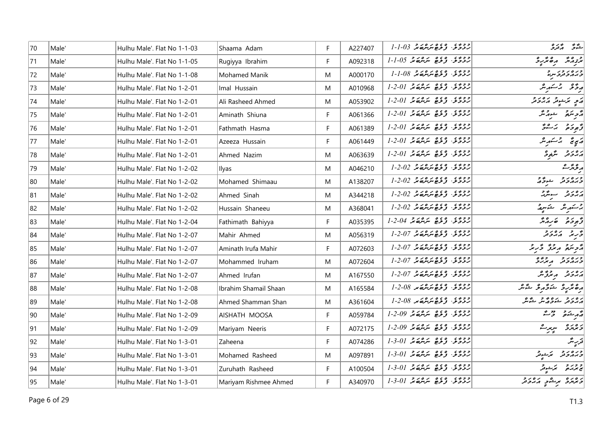| 70 | Male' | Hulhu Male'. Flat No 1-1-03 | Shaama Adam           | F | A227407 | 1-1-03 وكوم مرمود 1-1-03                                 | شَرَّقَ مَرْتَرَّوَ                                   |
|----|-------|-----------------------------|-----------------------|---|---------|----------------------------------------------------------|-------------------------------------------------------|
| 71 | Male' | Hulhu Male'. Flat No 1-1-05 | Rugiyya Ibrahim       | F | A092318 | 1-1-05 روم شهد 1-1-1                                     | تر <sub>تج</sub> رگر<br>وە ئۆرۈ                       |
| 72 | Male' | Hulhu Male'. Flat No 1-1-08 | Mohamed Manik         | M | A000170 | 1-1-08 د قوع مر مرحد 1-1-1                               | 2 גם גבג<br><i>ב ג</i> וג <i>ב</i> تو כ               |
| 73 | Male' | Hulhu Male'. Flat No 1-2-01 | Imal Hussain          | M | A010968 | 222 - ووقع شهر من 1-2-01                                 | أربح ومستهرش                                          |
| 74 | Male' | Hulhu Male'. Flat No 1-2-01 | Ali Rasheed Ahmed     | M | A053902 | 222 - ووقع شهر من 1-2-01                                 | أركمي الكراشيونس وكالركر وتحر                         |
| 75 | Male' | Hulhu Male'. Flat No 1-2-01 | Aminath Shiuna        | F | A061366 | 333. ووقع شهدة 1-2-1                                     | أأروبتهم سوارثه                                       |
| 76 | Male' | Hulhu Male'. Flat No 1-2-01 | Fathmath Hasma        | F | A061389 | 333. ووقع شهدة 1-2-1                                     | أزُبورَهِ بَرَاءِ وَ                                  |
| 77 | Male' | Hulhu Male'. Flat No 1-2-01 | Azeeza Hussain        | F | A061449 | 1-2-01 ترقيق شهر ال-2-1                                  | أەيبى ئىم ئەسكىرىش                                    |
| 78 | Male' | Hulhu Male'. Flat No 1-2-01 | Ahmed Nazim           | M | A063639 | 222 - ووقع شهر من 1-2-01                                 | رەر ئەرە                                              |
| 79 | Male' | Hulhu Male'. Flat No 1-2-02 | Ilyas                 | M | A046210 | 22°5. وقوع مرمر 1-2-02.                                  | ەر بۇرگە                                              |
| 80 | Male' | Hulhu Male'. Flat No 1-2-02 | Mohamed Shimaau       | M | A138207 | 1-2-02 دوء مريدة عرف 1-2-02                              | شەدگەرگە<br>و رە ر د<br><i>د بر</i> بر تر             |
| 81 | Male' | Hulhu Male'. Flat No 1-2-02 | Ahmed Sinah           | M | A344218 | 1-2-02 وتوقع مرتبر 1-2-02                                | ړه رو سوسر                                            |
| 82 | Male' | Hulhu Male'. Flat No 1-2-02 | Hussain Shaneeu       | M | A368041 | 1-2-02 وتوقع مرتبر 1-2-02                                | بر کرمر شر میگیرید                                    |
| 83 | Male' | Hulhu Male'. Flat No 1-2-04 | Fathimath Bahiyya     | F | A035395 | 332 - ووقع شهر 1-2-04                                    | وجوده قدمد                                            |
| 84 | Male' | Hulhu Male'. Flat No 1-2-07 | Mahir Ahmed           | M | A056319 | 1-2-07 رُوڤو سَرشھ جي 2-07-1                             | وكرير كمرورو                                          |
| 85 | Male' | Hulhu Male'. Flat No 1-2-07 | Aminath Irufa Mahir   | F | A072603 | 1-2-07 روء مرير 1-2-07                                   | أأزو يتنقر وبترقر لحربته                              |
| 86 | Male' | Hulhu Male'. Flat No 1-2-07 | Mohammed Iruham       | M | A072604 | 322 - 32 <sub>9</sub> مرب <i>و<sub>ع</sub> بر 1-2-07</i> | ورەرو مەردە                                           |
| 87 | Male' | Hulhu Male'. Flat No 1-2-07 | Ahmed Irufan          | M | A167550 | 222 - ووفي مرمود 2-07-1-2                                | أرور ويحوش                                            |
| 88 | Male' | Hulhu Male'. Flat No 1-2-08 | Ibrahim Shamail Shaan | M | A165584 | 1-2-08 رُوڤ مَرْسْرَةَ مَنْ 1-2-08                       | رەپرىرو خىۋىرو خىر                                    |
| 89 | Male' | Hulhu Male'. Flat No 1-2-08 | Ahmed Shamman Shan    | M | A361604 | 1-2-08 روم مريدة مراج                                    | رەر د رەپ دېمبر<br>م. <i>رو</i> تر خو <i>ومبر</i> خەش |
| 90 | Male' | Hulhu Male'. Flat No 1-2-09 | AISHATH MOOSA         | F | A059784 | 333 - 339 م <i>تبقعة</i> 2-09-1                          | أقهر مشوم وحرمته                                      |
| 91 | Male' | Hulhu Male'. Flat No 1-2-09 | Mariyam Neeris        | F | A072175 | وووي وي عرشه كرا-2-1                                     | ويوبره<br>سربر ہے<br>مصر                              |
| 92 | Male' | Hulhu Male'. Flat No 1-3-01 | Zaheena               | F | A074286 | 332 - ووقع شهر من 1-3-1                                  | لخرسي مثتر                                            |
| 93 | Male' | Hulhu Male'. Flat No 1-3-01 | Mohamed Rasheed       | M | A097891 | 1-3-01 توقيق شرش 1-3-01                                  | ورەرو بەيدۇ.                                          |
| 94 | Male' | Hulhu Male'. Flat No 1-3-01 | Zuruhath Rasheed      | F | A100504 | 322 - وقوع شهر من 1-3-01                                 | ج <i>بربر م</i><br>  بع <i>بربر م</i> حر بمر مصر م    |
| 95 | Male' | Hulhu Male'. Flat No 1-3-01 | Mariyam Rishmee Ahmed | F | A340970 | 2 د م د و د و د و د م د 1-3-01                           | وبروى برشوي كرمرو                                     |
|    |       |                             |                       |   |         |                                                          |                                                       |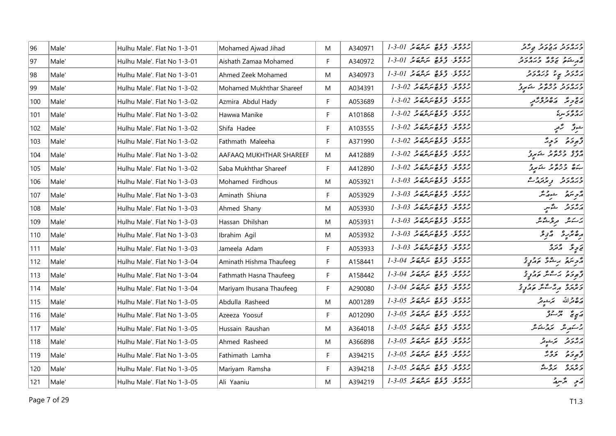| 96  | Male' | Hulhu Male'. Flat No 1-3-01 | Mohamed Ajwad Jihad      | M           | A340971 | 322 - ووقع شهر من 1-3-01                        | وره رو رورو پر گردگر              |
|-----|-------|-----------------------------|--------------------------|-------------|---------|-------------------------------------------------|-----------------------------------|
| 97  | Male' | Hulhu Male'. Flat No 1-3-01 | Aishath Zamaa Mohamed    | F.          | A340972 | $1 - 3 - 01$ $22 - 22$ $3 - 22$                 | و مشور بره دره در                 |
| 98  | Male' | Hulhu Male'. Flat No 1-3-01 | Ahmed Zeek Mohamed       | M           | A340973 | $1 - 3 - 01$ $22 - 22$ $-22$                    | גפנב <sub>א</sub> ני כמקבת        |
| 99  | Male' | Hulhu Male'. Flat No 1-3-02 | Mohamed Mukhthar Shareef | M           | A034391 | 3-22 . وقوع <i>مربره ب</i> ر 20-3-1             | ورەرد دەپرو شەيرو                 |
| 100 | Male' | Hulhu Male'. Flat No 1-3-02 | Azmira Abdul Hady        | $\mathsf F$ | A053689 | 3-92 . و <i>3 ق س سرقة بن 1</i> -3-02           | ەت ئەھىرورىر                      |
| 101 | Male' | Hulhu Male'. Flat No 1-3-02 | Hawwa Manike             | F           | A101868 | -3-02 روم من المستحدث 1-3-02                    | ر ە بەر<br>بەھ قەسرىيا            |
| 102 | Male' | Hulhu Male'. Flat No 1-3-02 | Shifa Hadee              | F           | A103555 | 322 - ووفي مرمود 20-3-1                         | ر گھر<br>شوتر<br>مر               |
| 103 | Male' | Hulhu Male'. Flat No 1-3-02 | Fathmath Maleeha         | F           | A371990 | 322 - ووفي مرمود 20-3-1                         | وُمِوَدَةٍ دَرِيدٌ                |
| 104 | Male' | Hulhu Male'. Flat No 1-3-02 | AAFAAQ MUKHTHAR SHAREEF  | M           | A412889 | 3-02 - وقوع مرمود 1-3-02                        | أوده وه وو خوبرو                  |
| 105 | Male' | Hulhu Male'. Flat No 1-3-02 | Saba Mukhthar Shareef    | F           | A412890 | 3-22 . وقوع مرمود 2-3-1-1                       | پژه وروو شهرو                     |
| 106 | Male' | Hulhu Male'. Flat No 1-3-03 | Mohamed Firdhous         | M           | A053921 | 3-92 . و <i>3 مارس مارس 1-3-03</i>              | ورەرو پەيرەك                      |
| 107 | Male' | Hulhu Male'. Flat No 1-3-03 | Aminath Shiuna           | F           | A053929 | 322 - وقوع مرمود 1-3-03                         | أأترجع سوقتكر                     |
| 108 | Male' | Hulhu Male'. Flat No 1-3-03 | Ahmed Shany              | M           | A053930 | $1 - 3 - 03$ كَمْ مَوْقَعْ مَرْسُمْ صَدْ 1-3-03 | رەر ئەشھىر                        |
| 109 | Male' | Hulhu Male'. Flat No 1-3-03 | Hassan Dhilshan          | M           | A053931 | 322 - وقوع <i>مربره بر</i> 1-3-03               | ىرىكىش برىۋىشەر                   |
| 110 | Male' | Hulhu Male'. Flat No 1-3-03 | Ibrahim Agil             | M           | A053932 | 1-3-03 وكموع مر مهمة 1-3-03                     | رە ئرىر ئىقى ئو                   |
| 111 | Male' | Hulhu Male'. Flat No 1-3-03 | Jameela Adam             | F.          | A053933 | 3-3-03 روم مري <i>م هن</i> د 1-3-03             | تے پی گھری                        |
| 112 | Male' | Hulhu Male'. Flat No 1-3-04 | Aminath Hishma Thaufeeg  | F           | A158441 | 3-92 وقوع متر مقدم 1-3-04                       | مُرْحِسَمَ بِمَسْرَدٌ وَمَرْرٍ وَ |
| 113 | Male' | Hulhu Male'. Flat No 1-3-04 | Fathmath Hasna Thaufeeg  | F           | A158442 | 3-92. ووقع شهر 1-3-04.                          | ۇ بەر ئەس ئەر ئەر                 |
| 114 | Male' | Hulhu Male'. Flat No 1-3-04 | Mariyam Ihusana Thaufeeg | F           | A290080 | 3-92 - وقوع شهر 1-3-04                          | دەرە بەر شىر مەربى                |
| 115 | Male' | Hulhu Male'. Flat No 1-3-05 | Abdulla Rasheed          | M           | A001289 | $1 - 3 - 05$ $222 - 25$                         | برەقراللە كمرىشوتر                |
| 116 | Male' | Hulhu Male'. Flat No 1-3-05 | Azeeza Yoosuf            | F           | A012090 | $1 - 3 - 05$ $222 - 25$                         | ارسم موجود<br>اورسم موجود         |
| 117 | Male' | Hulhu Male'. Flat No 1-3-05 | Hussain Raushan          | M           | A364018 | 322 - ووقع شهر 1-3-05.                          | برسكر مركز مركز شكر مر            |
| 118 | Male' | Hulhu Male'. Flat No 1-3-05 | Ahmed Rasheed            | M           | A366898 | $1 - 3 - 05$ $222 - 25$                         | پره پر پر شوند                    |
| 119 | Male' | Hulhu Male'. Flat No 1-3-05 | Fathimath Lamha          | F           | A394215 | $1 - 3 - 05$ $222 - 25$                         | أوُجوحَ ووفر                      |
| 120 | Male' | Hulhu Male'. Flat No 1-3-05 | Mariyam Ramsha           | F           | A394218 | $1 - 3 - 05$ محرم المحرم في سنة 1-3-05          | رەرە رەش                          |
| 121 | Male' | Hulhu Male'. Flat No 1-3-05 | Ali Yaaniu               | M           | A394219 | 2 <i>222. وقط</i> سَ <i>مَعْهُ 1-3-05</i>       | أوسمج وترسيد                      |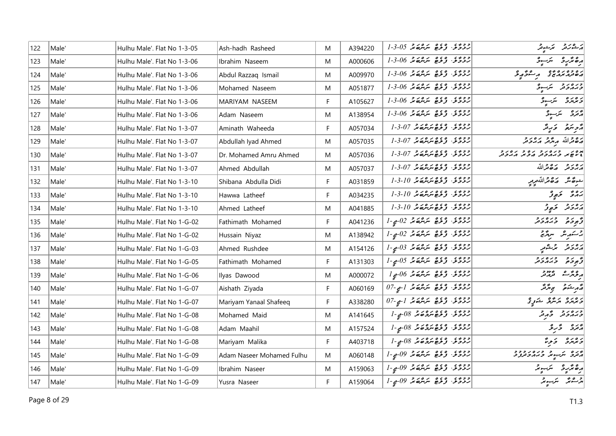| 122 | Male' | Hulhu Male'. Flat No 1-3-05 | Ash-hadh Rasheed          | M           | A394220 | 3-92 - ووقع شهر 1-3-05.                                                                                         | كالشارو المخاطبوقر                                         |
|-----|-------|-----------------------------|---------------------------|-------------|---------|-----------------------------------------------------------------------------------------------------------------|------------------------------------------------------------|
| 123 | Male' | Hulhu Male'. Flat No 1-3-06 | Ibrahim Naseem            | M           | A000606 | $1 - 3 - 06$ كَمَرْدَدْ وَتَوْهِ سَرْسَهَ حَمْدِ 1-3-06                                                         | رە ئۇر ئىسرى                                               |
| 124 | Male' | Hulhu Male'. Flat No 1-3-06 | Abdul Razzaq Ismail       | M           | A009970 | $1 - 3 - 06$ حَرْجَعَ حَمَدَ 1-3-06                                                                             | גם כם גם צם הם בים בי<br>הסנג הגה ביצי ה- הכל בי           |
| 125 | Male' | Hulhu Male'. Flat No 1-3-06 | Mohamed Naseem            | M           | A051877 | 332 - وقوع شهر 1-3-06.                                                                                          | ورەرو شرىدۇ                                                |
| 126 | Male' | Hulhu Male'. Flat No 1-3-06 | MARIYAM NASEEM            | F           | A105627 | 332 - وقوع شهر 1-3-06.                                                                                          | ويوره سرَبود                                               |
| 127 | Male' | Hulhu Male'. Flat No 1-3-06 | Adam Naseem               | M           | A138954 | 332 - وقوع شهر 1-3-06.                                                                                          | وره سرّبود                                                 |
| 128 | Male' | Hulhu Male'. Flat No 1-3-07 | Aminath Waheeda           | F           | A057034 | 322 - وقوع مرمود 1-3-07                                                                                         | مزج سكتمى الحاسية مكر                                      |
| 129 | Male' | Hulhu Male'. Flat No 1-3-07 | Abdullah Iyad Ahmed       | M           | A057035 | 322 - وقوع مرمود 1-3-07                                                                                         | رە داللە مەردىر مەدىر                                      |
| 130 | Male' | Hulhu Male'. Flat No 1-3-07 | Dr. Mohamed Amru Ahmed    | M           | A057036 | $1 - 3 - 0$ 7 كَمْ مَوْقَعْ مَرْسُمْ صَدْبَرِ 1-3-07                                                            | 200 - 200 200 200 200 200<br>24 24 24 25 26 26 26 26 26 26 |
| 131 | Male' | Hulhu Male'. Flat No 1-3-07 | Ahmed Abdullah            | M           | A057037 | 3-92 . ووقع مرمود 1-3-07                                                                                        | برورد بره قرالله                                           |
| 132 | Male' | Hulhu Male'. Flat No 1-3-10 | Shibana Abdulla Didi      | F.          | A031859 | 322 - وقوع مرمود 10-3-1                                                                                         | جو <i>ھُنگ مُ</i> ھتراللَّه مِرِمِرِ                       |
| 133 | Male' | Hulhu Male'. Flat No 1-3-10 | Hawwa Latheef             | F           | A034235 | 322 كور قوم مركز 10-3-1                                                                                         | پروژ توپوژ                                                 |
| 134 | Male' | Hulhu Male'. Flat No 1-3-10 | Ahmed Latheef             | M           | A041885 | 322 كور قوم مركز 10-3-1                                                                                         | دەر ئەۋۇ                                                   |
| 135 | Male' | Hulhu Male'. Flat No 1-G-02 | Fathimath Mohamed         | F           | A041236 | $1$ - جَمْعَةَ وَتَوْفَعَ سَرْسُرَهَ عَنْ $02$ - جِ                                                             | أوجوحو وره دو                                              |
| 136 | Male' | Hulhu Male'. Flat No 1-G-02 | Hussain Niyaz             | M           | A138942 | 332 - ودوم شهره بر 02- بي-1                                                                                     | برسكور مثر سرمرمج                                          |
| 137 | Male' | Hulhu Male'. Flat No 1-G-03 | Ahmed Rushdee             | M           | A154126 | $1 - 03$ حَدَّمَ حَدَّمَ حَدَّمَ حَدَّمَ $03 - 4$                                                               | رەر دىھىر                                                  |
| 138 | Male' | Hulhu Male'. Flat No 1-G-05 | Fathimath Mohamed         | F           | A131303 | $1$ - دِوْعَةَ وَوْعْ سَرْسُ عَدَلَ 95- مِي- 1                                                                  | و ده دره دو                                                |
| 139 | Male' | Hulhu Male'. Flat No 1-G-06 | Ilyas Dawood              | M           | A000072 | $1.206$ محمد و دو است الله عليه الله عليه السلم و الله عليه الله عليه الله عليه الله عليه الله عليه الله عليه ا | ە ئەرە ئەدە <i>دە</i> رە<br>مەنوس ئىرمەتر                  |
| 140 | Male' | Hulhu Male'. Flat No 1-G-07 | Aishath Ziyada            | F           | A060169 | $07$ - دوځو، وگوه مرموزه د ا- د -                                                                               | مەر ئىكتىمى ئىم ئارتىگر                                    |
| 141 | Male' | Hulhu Male'. Flat No 1-G-07 | Mariyam Yanaal Shafeeq    | F           | A338280 | 333 - وقوع مرتكز عقر 1- في-07                                                                                   | رەرە بەشرى ھەرپى                                           |
| 142 | Male' | Hulhu Male'. Flat No 1-G-08 | Mohamed Maid              | M           | A141645 | $1$ - د د د . و د و مرده مگر $08$ - بو - $1$                                                                    | ورەرو ۋرتر                                                 |
| 143 | Male' | Hulhu Male'. Flat No 1-G-08 | Adam Maahil               | M           | A157524 | 1- دوري و ده ده ده ده الع - 1                                                                                   | پرو ڈرو                                                    |
| 144 | Male' | Hulhu Male'. Flat No 1-G-08 | Mariyam Malika            | $\mathsf F$ | A403718 | $1$ - د د د د د و د ه مرد ه مرک $\sim$ - د - ا                                                                  | رەرە رىر                                                   |
| 145 | Male' | Hulhu Male'. Flat No 1-G-09 | Adam Naseer Mohamed Fulhu | M           | A060148 | $1 - 09$ حَدَّمَ حَدَّمَ مِنْ سَمْعَةٍ حَدَّمَ اللَّهِ مِنْ اللَّهِ مِنْ اللَّهِ مِنْ $1 - 1$                   | وره ترجيد وره دوود<br>مدرد ترجيد وبرماويرون                |
| 146 | Male' | Hulhu Male'. Flat No 1-G-09 | Ibrahim Naseer            | M           | A159063 | $1 - 09$ حِمْدَةَ وَمَحْدِهِ سَرْجَعَةِ $09 - 4$                                                                | رە ئۇر ئىسىر                                               |
| 147 | Male' | Hulhu Male'. Flat No 1-G-09 | Yusra Naseer              | F.          | A159064 | $1 - 9 - 9$ حَرْجَ حَرْمَ مَسْتَمْهَ حَمْدِ 10-مِي-1                                                            | پرسشمئر - سرسبوسر                                          |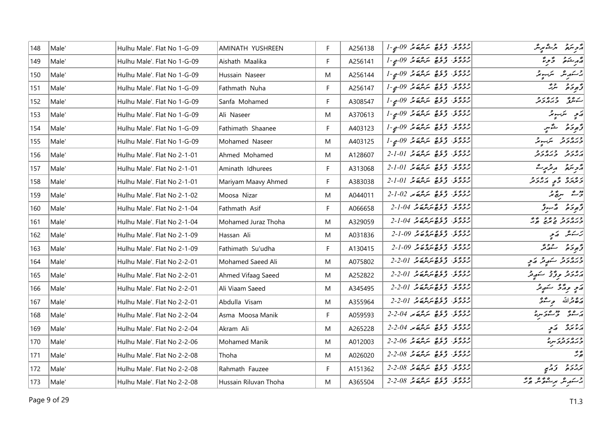| 148 | Male' | Hulhu Male'. Flat No 1-G-09 | <b>AMINATH YUSHREEN</b> | F  | A256138 | دووي وءه مرمود 19-ي-1                                                                                      | أمراه مراد والمستورين                                                                                                                                                                                                           |
|-----|-------|-----------------------------|-------------------------|----|---------|------------------------------------------------------------------------------------------------------------|---------------------------------------------------------------------------------------------------------------------------------------------------------------------------------------------------------------------------------|
| 149 | Male' | Hulhu Male'. Flat No 1-G-09 | Aishath Maalika         | F. | A256141 | $1 - 09$ جَمْعَ الْمَسْتَمَرِّ وَالْحَمَدِّ.                                                               | أرمر مشكرة والمحافية                                                                                                                                                                                                            |
| 150 | Male' | Hulhu Male'. Flat No 1-G-09 | Hussain Naseer          | M  | A256144 | $1 - 09$ حَدَّمَ حَدَّمَ مِنْ سَمْعَةٍ حَدَّمَ الْمُسْتَغَيِّرِ مِنْ الْمُسْتَغِيِّرِ مِنْ الْمُسْتَخِيفِي | برسكرمر الكرسوبر                                                                                                                                                                                                                |
| 151 | Male' | Hulhu Male'. Flat No 1-G-09 | Fathmath Nuha           | F  | A256147 | 1- دوم و دوم مركز من 10- مي-1                                                                              | سرجر<br>و محرم د<br>قرم د حر                                                                                                                                                                                                    |
| 152 | Male' | Hulhu Male'. Flat No 1-G-09 | Sanfa Mohamed           | F  | A308547 | $1 - 09$ جَمْعَ الْمَسْتَمَرِّ وَالْحَمَدِّ.                                                               | سەھەتىر<br>و ره ر د<br>تر پروتر                                                                                                                                                                                                 |
| 153 | Male' | Hulhu Male'. Flat No 1-G-09 | Ali Naseer              | M  | A370613 | $1 - 09$ جَمْعَ الْمَسْتَمَرِّ وَالْحَمَدِّ.                                                               | أوأجي الكرسوند                                                                                                                                                                                                                  |
| 154 | Male' | Hulhu Male'. Flat No 1-G-09 | Fathimath Shaanee       | F  | A403123 | $1 - 09$ حَدَّمَ حَدَّمَ مِنْ سَمْعَةٍ حَدَّمَ الْمُسْتَغَيِّرِ مِنْ الْمُسْتَغِيِّرِ مِنْ الْمُسْتَخِيفِي | ژُهِ دَمَ حَمَّسٍ                                                                                                                                                                                                               |
| 155 | Male' | Hulhu Male'. Flat No 1-G-09 | Mohamed Naseer          | M  | A403125 | 1- دوي. وده شهره ده. 09- بي-1                                                                              | ورەرو شبىر                                                                                                                                                                                                                      |
| 156 | Male' | Hulhu Male'. Flat No 2-1-01 | Ahmed Mohamed           | M  | A128607 | 322 - ووقع شهر من 1-01-2                                                                                   | נסנכ כנסנכ<br>גגבע כגהכע                                                                                                                                                                                                        |
| 157 | Male' | Hulhu Male'. Flat No 2-1-01 | Aminath Idhurees        | F  | A313068 | $2-1-01$ مُحْرَجَة وَتَحْرَمَعَ سَهْرَهُ مِنْ $-1-0$                                                       | أترجر سترته وتربيب                                                                                                                                                                                                              |
| 158 | Male' | Hulhu Male'. Flat No 2-1-01 | Mariyam Maavy Ahmed     | F. | A383038 | 2-1-01 رُوتَوْعَ سَرْسُهَ حَمْدِ 1-01-2                                                                    | د وره د و بره د د                                                                                                                                                                                                               |
| 159 | Male' | Hulhu Male'. Flat No 2-1-02 | Moosa Nizar             | M  | A044011 | 2-1-02 رُومُ سَرْسُ صَد 1-02-2                                                                             | رحمشہ سرچ تھ                                                                                                                                                                                                                    |
| 160 | Male' | Hulhu Male'. Flat No 2-1-04 | Fathmath Asif           | F  | A066658 | 2-1-04 روم مريد 1-04-2                                                                                     | أوجوحه الأسوقر                                                                                                                                                                                                                  |
| 161 | Male' | Hulhu Male'. Flat No 2-1-04 | Mohamed Juraz Thoha     | M  | A329059 | 322 - ووفي مرمود 1-04-2                                                                                    | 22 222 232 243<br>22 234 245 24                                                                                                                                                                                                 |
| 162 | Male' | Hulhu Male'. Flat No 2-1-09 | Hassan Ali              | M  | A031836 | 2-1-09 ر <i>وؤھ مرون جي 1-09-2</i>                                                                         | ترسكانئر الأبور                                                                                                                                                                                                                 |
| 163 | Male' | Hulhu Male'. Flat No 2-1-09 | Fathimath Su'udha       | F  | A130415 | 2-1-09 وموقع مردة مثر 1-09-2                                                                               | اؤبوذه سنهتز                                                                                                                                                                                                                    |
| 164 | Male' | Hulhu Male'. Flat No 2-2-01 | Mohamed Saeed Ali       | M  | A075802 | 2-2-01 روم مري <i>م من 2-2-01</i>                                                                          | ورەرو سەرد كەير                                                                                                                                                                                                                 |
| 165 | Male' | Hulhu Male'. Flat No 2-2-01 | Ahmed Vifaag Saeed      | M  | A252822 | 2-2-01 روم مري <i>م من 2-2-01</i>                                                                          | أرودو وؤو كهيد                                                                                                                                                                                                                  |
| 166 | Male' | Hulhu Male'. Flat No 2-2-01 | Ali Viaam Saeed         | M  | A345495 | 2-2-01 ر <i>وم و مؤلفة مشاهد 2-2-01</i>                                                                    | مَدِ وِمَدْ سَمِيدٌ                                                                                                                                                                                                             |
| 167 | Male' | Hulhu Male'. Flat No 2-2-01 | Abdulla Visam           | M  | A355964 | 2-2-01 روم مريد من 2-2-1                                                                                   | رەقراللە مەر                                                                                                                                                                                                                    |
| 168 | Male' | Hulhu Male'. Flat No 2-2-04 | Asma Moosa Manik        | F  | A059593 | 2-2-04 روم شهر 2-2-1                                                                                       | أراء والمستوسرة                                                                                                                                                                                                                 |
| 169 | Male' | Hulhu Male'. Flat No 2-2-04 | Akram Ali               | M  | A265228 | 2-2-04 روم شرق 10-2-2                                                                                      | پرسترو کے م                                                                                                                                                                                                                     |
| 170 | Male' | Hulhu Male'. Flat No 2-2-06 | <b>Mohamed Manik</b>    | M  | A012003 | 2-2-06 ر <i>وق مرمومة 06-2-2</i>                                                                           | و ر ه ر و ر<br>تر پروتر <del>و</del> سربا                                                                                                                                                                                       |
| 171 | Male' | Hulhu Male'. Flat No 2-2-08 | Thoha                   | M  | A026020 | 2-2-08 مَرْسُمَة مِنْ 2-2-2                                                                                | چڙ                                                                                                                                                                                                                              |
| 172 | Male' | Hulhu Male'. Flat No 2-2-08 | Rahmath Fauzee          | F  | A151362 | 2-2-08 مرتفعة مرتفعة 2-2-2                                                                                 | پر پر چه چې تو کړې                                                                                                                                                                                                              |
| 173 | Male' | Hulhu Male'. Flat No 2-2-08 | Hussain Riluvan Thoha   | M  | A365504 | 2-2-08 مَرْسُمَة مِنْ 2-2-2                                                                                | ا د کرمر شرکت در در در در داده کرد در در در در داده کرد در در در در داد کرد در در داد کرد در داد کرد در در داد<br>این کشماری در در داده داد در داد کرد کرد در داد کرد کرد کرد که در داد کرد که در داد کرد که در داد کرد کرد کرد |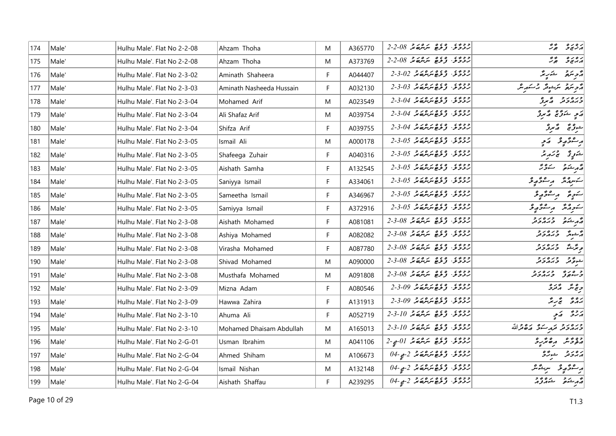| 174 | Male' | Hulhu Male'. Flat No 2-2-08 | Ahzam Thoha              | M           | A365770 | 2-2-08 مرتكز من 2-2-2               | پر وي و<br>چڙ                                 |
|-----|-------|-----------------------------|--------------------------|-------------|---------|-------------------------------------|-----------------------------------------------|
| 175 | Male' | Hulhu Male'. Flat No 2-2-08 | Ahzam Thoha              | M           | A373769 | 2-2-08 مَرْمُوْهِ مَرْمُهُمْ 08-2-2 | ەرەرە<br>چڙ                                   |
| 176 | Male' | Hulhu Male'. Flat No 2-3-02 | Aminath Shaheera         | F           | A044407 | 2-3-02 وع قريم مركز 2-3-2           | أترجع أحكم يتمريثه                            |
| 177 | Male' | Hulhu Male'. Flat No 2-3-03 | Aminath Nasheeda Hussain | F           | A032130 | 2-3-03 ر <i>وۋھ مرمرھ پر 2-3-03</i> | أأوسكم سكيونكر بالتكريك                       |
| 178 | Male' | Hulhu Male'. Flat No 2-3-04 | Mohamed Arif             | M           | A023549 | 2-3-04 ر <i>وم قرم شهر 10-3-2</i>   | ورەر د پرو                                    |
| 179 | Male' | Hulhu Male'. Flat No 2-3-04 | Ali Shafaz Arif          | M           | A039754 | 3-3-04 روم مريد من 10-3-2           | أركبي الشوقريج أوحميرو                        |
| 180 | Male' | Hulhu Male'. Flat No 2-3-04 | Shifza Arif              | F           | A039755 | 3-3-04 ر <i>وم ۾ شهر شهر 2-3-04</i> | شوژیځ د تمبرژ                                 |
| 181 | Male' | Hulhu Male'. Flat No 2-3-05 | Ismail Ali               | M           | A000178 | 2-3-05 روم مريد 2-3-05 2-3-05       | بر شۇمۇھ كەيپ                                 |
| 182 | Male' | Hulhu Male'. Flat No 2-3-05 | Shafeega Zuhair          | F           | A040316 | 2-3-05 وتوقي <i>م شهر 15-3-2</i>    | شَرْرٍ يَنْ يَحْرَ يُرْ                       |
| 183 | Male' | Hulhu Male'. Flat No 2-3-05 | Aishath Samha            | F           | A132545 | 2-3-05 وقوع <i>مربره بل 5-3-05</i>  | مەر شەم ئىسىرى                                |
| 184 | Male' | Hulhu Male'. Flat No 2-3-05 | Saniyya Ismail           | F           | A334061 | 2-3-05 وقوع مرمود 2-3-05            | سەسلەش مەستۇمپۇ                               |
| 185 | Male' | Hulhu Male'. Flat No 2-3-05 | Sameetha Ismail          | F           | A346967 | 2-3-05 وتوقي <i>م شهر 15-3-2</i>    | سوچۇ بېسىۋېيى                                 |
| 186 | Male' | Hulhu Male'. Flat No 2-3-05 | Samiyya Ismail           | F.          | A372916 | 2-3-05 روم مريد 2-3-05 2-3-05       | سكورثر<br>ەرسىۋەپەيج                          |
| 187 | Male' | Hulhu Male'. Flat No 2-3-08 | Aishath Mohamed          | $\mathsf F$ | A081081 | 332 - 3 <i>-08 سُمْعَة 2-3-08</i>   | ه دره دره در<br>په شوه در درد                 |
| 188 | Male' | Hulhu Male'. Flat No 2-3-08 | Ashiya Mohamed           | F           | A082082 | 2-3-08 ترتزع ترتزع في 2-3-08        | و ره ر د<br>ر <i>ډ</i> رکر<br>بر<br>مر شہ وگر |
| 189 | Male' | Hulhu Male'. Flat No 2-3-08 | Virasha Mohamed          | F           | A087780 | 2-3-08 ر <i>ووفي مرمومة 08-3-2</i>  | ە ئۇشە<br>و ره ر و<br>تر <i>پر</i> وتر        |
| 190 | Male' | Hulhu Male'. Flat No 2-3-08 | Shivad Mohamed           | M           | A090000 | 332 - 3 <i>-08 سُمْهَمْ</i> 2-3-08  | شو <i>ه وره د</i> و<br>شو <i>ه تر پر بر</i>   |
| 191 | Male' | Hulhu Male'. Flat No 2-3-08 | Musthafa Mohamed         | M           | A091808 | 2-3-08 ر <i>ووفي مرمومة 08-3-2</i>  | چ پە پەرىچ<br>و رە ر د<br><i>د بر</i> گرىز    |
| 192 | Male' | Hulhu Male'. Flat No 2-3-09 | Mizna Adam               | F           | A080546 | 2-3-09 وقوع مرش كان 3-0-2           | و مح شه محمده                                 |
| 193 | Male' | Hulhu Male'. Flat No 2-3-09 | Hawwa Zahira             | F           | A131913 | 2-3-09 ر <i>وۋھ مرموم كى 2-3-09</i> | برەپچ<br>ىتى سەتتىر                           |
| 194 | Male' | Hulhu Male'. Flat No 2-3-10 | Ahuma Ali                | F           | A052719 | 2-3-10 رُومَ مَرْسُ 10-3-2          | پر ژی په په                                   |
| 195 | Male' | Hulhu Male'. Flat No 2-3-10 | Mohamed Dhaisam Abdullah | M           | A165013 | 2-3-10 رُومَ مَرْسُهَ جَلْسُ 2-3-10 | وره رو بر رو بره دالله                        |
| 196 | Male' | Hulhu Male'. Flat No 2-G-01 | Usman Ibrahim            | M           | A041106 | 33°5. وُوْعْ مَرْسُهَ بَنْ 10-يې-2. | وەۋش مەھرىر                                   |
| 197 | Male' | Hulhu Male'. Flat No 2-G-04 | Ahmed Shiham             | M           | A106673 | دووي وءه بره مدحى 2-يي-04           | رەرد جەرى                                     |
| 198 | Male' | Hulhu Male'. Flat No 2-G-04 | Ismail Nishan            | M           | A132148 | دووی   ووه مرور محد   2-يې -04      | أبر سادة أبر في سريك الر                      |
| 199 | Male' | Hulhu Male'. Flat No 2-G-04 | Aishath Shaffau          | F           | A239295 | دووی وءه بره مړه 2-يې-04            | و دره ده ده در در در<br>مرد شوم               |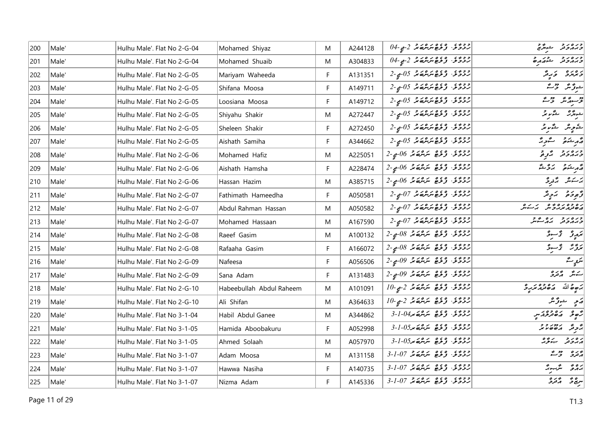| 200 | Male' | Hulhu Male'. Flat No 2-G-04 | Mohamed Shiyaz           | M  | A244128 | د د د و و و و د و ه د 2 - ي -04                 | و ره ر و<br><i>و بر</i> پر <del>و</del> تر<br>شەدگرىم |
|-----|-------|-----------------------------|--------------------------|----|---------|-------------------------------------------------|-------------------------------------------------------|
| 201 | Male' | Hulhu Male'. Flat No 2-G-04 | Mohamed Shuaib           | M  | A304833 | 332 - 339 مرب <i>وھ بن 2-ي</i> ې-04             | وره دو دره<br>وبرمرحر شورمره                          |
| 202 | Male' | Hulhu Male'. Flat No 2-G-05 | Mariyam Waheeda          | F  | A131351 | 2333. وقوع مرمعة مرق 15-ي-2                     | دەرە ئەيەت                                            |
| 203 | Male' | Hulhu Male'. Flat No 2-G-05 | Shifana Moosa            | F  | A149711 | 333 - وتوقي مرمض كا-بي-2                        | شوژ نگر در حرائے                                      |
| 204 | Male' | Hulhu Male'. Flat No 2-G-05 | Loosiana Moosa           | F  | A149712 | 333 - وتوقيع مرتفر 15- مي-2                     | وحسرته وحسة                                           |
| 205 | Male' | Hulhu Male'. Flat No 2-G-05 | Shiyahu Shakir           | M  | A272447 | وووي وووم مروم بر 05-يي-2                       | شەرگرا سەر بار                                        |
| 206 | Male' | Hulhu Male'. Flat No 2-G-05 | Sheleen Shakir           | F  | A272450 | 33 - وكون موقع مركز من 15-ي <sub>ع</sub> -2 - 2 | لمشروش المشرور                                        |
| 207 | Male' | Hulhu Male'. Flat No 2-G-05 | Aishath Samiha           | F  | A344662 | وووي وووم مرورة كي-2-2                          | مەر ئىكتى كەر ئە                                      |
| 208 | Male' | Hulhu Male'. Flat No 2-G-06 | Mohamed Hafiz            | M  | A225051 | $2 - 06$ حَدَّدٌ وَدَعْ مَرْسُمَةٌ $06 - 2$     | ورەر د بۇرۇ                                           |
| 209 | Male' | Hulhu Male'. Flat No 2-G-06 | Aishath Hamsha           | F  | A228474 | وووي. ووقع مرمض كان المجا-2                     | مەرىشقى كەرىش                                         |
| 210 | Male' | Hulhu Male'. Flat No 2-G-06 | Hassan Hazim             | M  | A385715 | $2 - 06$ حَدَّدٌ وَدَعْ مَرْسُمَةٌ $06 - 2$     | ىر سەش بۇ ئۇرقر                                       |
| 211 | Male' | Hulhu Male'. Flat No 2-G-07 | Fathimath Hameedha       | F. | A050581 | وووي. وي ع شرق هغر 07-يي-2                      | ژُوِدَهُ يَدِيَّرُ                                    |
| 212 | Male' | Hulhu Male'. Flat No 2-G-07 | Abdul Rahman Hassan      | M  | A050582 | وووي وووم ومريح 17-يې-2                         | رە دەرەپە ئەسەر                                       |
| 213 | Male' | Hulhu Male'. Flat No 2-G-07 | Mohamed Hassaan          | M  | A167590 | دووی و وه د مهاجر -07-يې -2                     | ورەرو رەپ                                             |
| 214 | Male' | Hulhu Male'. Flat No 2-G-08 | Raeef Gasim              | M  | A100132 | وووي. وءو برمون 18-يي-2                         | ىمەر قۇسۇ                                             |
| 215 | Male' | Hulhu Male'. Flat No 2-G-08 | Rafaaha Gasim            | F  | A166072 | 32°55. وتوقع مرتقصة 18-يي-2                     | ىرومۇ سىمىسىدى                                        |
| 216 | Male' | Hulhu Male'. Flat No 2-G-09 | Nafeesa                  | F  | A056506 | دووي وءه برمور 10-ي-2                           | ىئرىم ئە                                              |
| 217 | Male' | Hulhu Male'. Flat No 2-G-09 | Sana Adam                | F  | A131483 | دووی وی مرکز سرگاه کو -2                        | سەش ئەرە                                              |
| 218 | Male' | Hulhu Male'. Flat No 2-G-10 | Habeebullah Abdul Raheem | M  | A101091 | وووي. ووه مره مع 2-م -10                        | برح الله بره وه بر ح<br>برح الله برح مرد مربر حر      |
| 219 | Male' | Hulhu Male'. Flat No 2-G-10 | Ali Shifan               | M  | A364633 | $10$ -د د د و د ه سرهه د 2-مي $10$              | ړې <sub>شو</sub> ژ ش                                  |
| 220 | Male' | Hulhu Male'. Flat No 3-1-04 | Habil Abdul Ganee        | M  | A344862 | 3-1-04 رقوع شهره بر1-04                         | رُّھوگ ره دور سر                                      |
| 221 | Male' | Hulhu Male'. Flat No 3-1-05 | Hamida Aboobakuru        | F  | A052998 | 3-1-05 ومؤقع سرائدة مر1-05-3                    | 77777<br>برٌح ِ تَرُ                                  |
| 222 | Male' | Hulhu Male'. Flat No 3-1-05 | Ahmed Solaah             | M  | A057970 | 3-1-05 وقوع سكره مر50-1-3                       | ره رو دره ۵<br>پرسرتر سنور                            |
| 223 | Male' | Hulhu Male'. Flat No 3-1-07 | Adam Moosa               | M  | A131158 |                                                 | پره دونه                                              |
| 224 | Male' | Hulhu Male'. Flat No 3-1-07 | Hawwa Nasiha             | F  | A140735 | 3-1-07 ووقع شهر 1-07-3                          | برەپچ<br>ىئرىبىدىر                                    |
| 225 | Male' | Hulhu Male'. Flat No 3-1-07 | Nizma Adam               | F. | A145336 | 3-1-07 روم شهر 1-07-3                           | سرچ مجملاته                                           |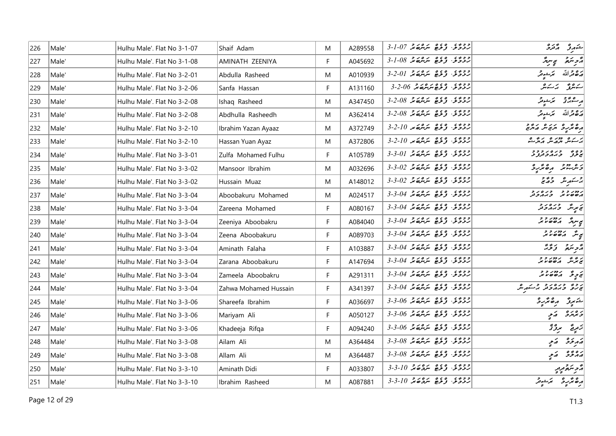| 226 | Male' | Hulhu Male'. Flat No 3-1-07 | Shaif Adam            | M         | A289558 | 3-1-07 وقوع شهر 1-07-3                      | پور ہ<br>مرکز ژ<br>ڪمري            |
|-----|-------|-----------------------------|-----------------------|-----------|---------|---------------------------------------------|------------------------------------|
| 227 | Male' | Hulhu Male'. Flat No 3-1-08 | AMINATH ZEENIYA       | F         | A045692 | 3-1-08 ر <i>ووفا مرشھ كى 1-08-</i> 3        | أتمر يتمقح<br>سم میں<br>سے ب       |
| 228 | Male' | Hulhu Male'. Flat No 3-2-01 | Abdulla Rasheed       | M         | A010939 | 2 مَوْتَوَى وَتَوْعَ سَرْسُهَ حَمْدِ 2-01-3 | برە تراللە<br>بخرشوقر              |
| 229 | Male' | Hulhu Male'. Flat No 3-2-06 | Sanfa Hassan          | F         | A131160 | 3-2-06 ر <i>وۋھ مرمرھ بر</i>                | سەھۇ<br>برسەمىر                    |
| 230 | Male' | Hulhu Male'. Flat No 3-2-08 | Ishaq Rasheed         | M         | A347450 | 3-2-08 مرتفع مرتفعة 2-08-3                  | پر هېږ چ<br>بمرشوقر                |
| 231 | Male' | Hulhu Male'. Flat No 3-2-08 | Abdhulla Rasheedh     | M         | A362414 | 3-2-08 مرتفع مرتفعة 2-08-3                  | مَدْ مَدَّاللَّهُ مَرَسْدِمَّر     |
| 232 | Male' | Hulhu Male'. Flat No 3-2-10 | Ibrahim Yazan Ayaaz   | M         | A372749 | 3-2-10 توقيق شهر 10-2-3                     | ת ביציב תהים גורד                  |
| 233 | Male' | Hulhu Male'. Flat No 3-2-10 | Hassan Yuan Ayaz      | M         | A372806 | 3-2-10 توقيق شرش 10-2-3                     | بر کے مدد مدد مرکز کے              |
| 234 | Male' | Hulhu Male'. Flat No 3-3-01 | Zulfa Mohamed Fulhu   | F         | A105789 | 3-3-01 كونجى مەركى قىرال 3-3-01             | وه په دره رووو<br>بح څرنو کرير کري |
| 235 | Male' | Hulhu Male'. Flat No 3-3-02 | Mansoor Ibrahim       | M         | A032696 | 3-3-02 وقوع شهر 20-3-3                      | ومرجع مقدرو                        |
| 236 | Male' | Hulhu Male'. Flat No 3-3-02 | Hussain Muaz          | M         | A148012 | 3-3-02 ووقع شهر 20-3-3                      | پرستهر مردم د                      |
| 237 | Male' | Hulhu Male'. Flat No 3-3-04 | Aboobakuru Mohamed    | M         | A024517 | 3-3-04 توقي سَرْسَهَ حَمْدِ 3-3-04          | נדמנ כנסנב<br>גפסט ב בגגבת         |
| 238 | Male' | Hulhu Male'. Flat No 3-3-04 | Zareena Mohamed       | F         | A080167 | 3-3-04 ر <i>وم</i> ع ش <i>هوم</i> 10-3-3    | پی پیش ویره رو                     |
| 239 | Male' | Hulhu Male'. Flat No 3-3-04 | Zeeniya Aboobakru     | F         | A084040 | 3-3-04 روم شهر 3-3-04                       | 77/27/7<br>اسمبر<br>پیمبر          |
| 240 | Male' | Hulhu Male'. Flat No 3-3-04 | Zeena Aboobakuru      | F         | A089703 | 3-3-04 ر <i>وم</i> ع ش <i>هوم</i> 10-3-3    | پی شهر در در در                    |
| 241 | Male' | Hulhu Male'. Flat No 3-3-04 | Aminath Falaha        | F         | A103887 | 3-3-04 روم شهر 3-3-04                       | أزويتهى وتؤثر                      |
| 242 | Male' | Hulhu Male'. Flat No 3-3-04 | Zarana Aboobakuru     | F         | A147694 | 3-3-04 تركوها المريكري 3-3-04               | ئے مُترسَّر<br>77777               |
| 243 | Male' | Hulhu Male'. Flat No 3-3-04 | Zameela Aboobakru     | F         | A291311 | 3-3-04 توقي سَرْسَهَ حَمْدِ 3-3-04          | 77777<br>كتج حرقحه                 |
| 244 | Male' | Hulhu Male'. Flat No 3-3-04 | Zahwa Mohamed Hussain | F         | A341397 | 3-3-04 مرتفع مرتفقة 3-3-04                  | ג כי כגמכני העולה יש               |
| 245 | Male' | Hulhu Male'. Flat No 3-3-06 | Shareefa Ibrahim      | F         | A036697 | 3-3-06 روم شهد 3-3-06 د                     | ەر ھەترىر <i>3</i><br> شەمورٌ      |
| 246 | Male' | Hulhu Male'. Flat No 3-3-06 | Mariyam Ali           | F         | A050127 | 3-3-06 روم شهد 3-3-06 دي.                   | ئەنگەر ئ<br>ەتىر                   |
| 247 | Male' | Hulhu Male'. Flat No 3-3-06 | Khadeeja Rifqa        | F         | A094240 | 3-3-06 روم شهد 3-3-06 د                     | ىروتى<br>ترَ مَدِيَّحَ             |
| 248 | Male' | Hulhu Male'. Flat No 3-3-08 | Ailam Ali             | M         | A364484 | 3-3-08 وقوع سَرْسْهَ جَيْ 2-3-4             | لمذمرخه<br>ەئىر                    |
| 249 | Male' | Hulhu Male'. Flat No 3-3-08 | Allam Ali             | M         | A364487 | 3-3-08 وقوع شهر 3-3-08                      | ره وه<br>مهرمو<br>رځمنه            |
| 250 | Male' | Hulhu Male'. Flat No 3-3-10 | Aminath Didi          | F         | A033807 | 3-3-10 كوفوع مروك 10-3-3                    | پژحر سَرَ پِرْ وَرِ وَرِ           |
| 251 | Male' | Hulhu Male'. Flat No 3-3-10 | Ibrahim Rasheed       | ${\sf M}$ | A087881 | 3-3-10 كوفريق مركز 10-3-3                   | رە ئۇرۇ بۇيدۇر                     |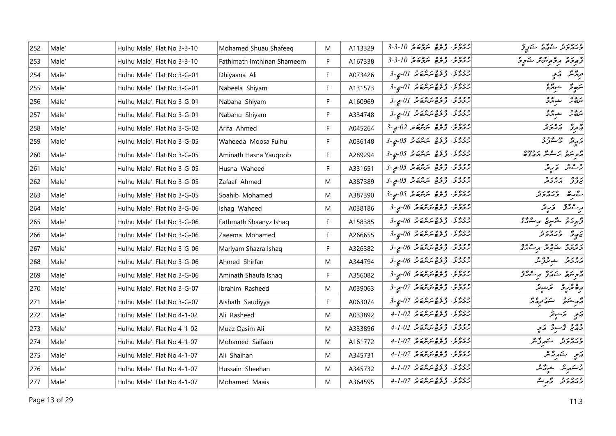| 252 | Male' | Hulhu Male'. Flat No 3-3-10 | Mohamed Shuau Shafeeq      | M         | A113329 | 3-3-10 كوفوع مروك 10-3-3                | ورەرو ئورۇم ئورۇ                     |
|-----|-------|-----------------------------|----------------------------|-----------|---------|-----------------------------------------|--------------------------------------|
| 253 | Male' | Hulhu Male'. Flat No 3-3-10 | Fathimath Imthinan Shameem | F         | A167338 | 3-3-10 كوم مروك 10-3-3                  | أؤوخو ووموشر المنوح                  |
| 254 | Male' | Hulhu Male'. Flat No 3-G-01 | Dhiyaana Ali               | F         | A073426 | 222 - وقوع مرمرة مرس 10-ي-3             | مریژ سر کرکم پر                      |
| 255 | Male' | Hulhu Male'. Flat No 3-G-01 | Nabeela Shiyam             | F         | A131573 | د دوي و وه د وړ د 10-يې-3               | شەدگرى<br> سَرَھٍ تَرُ               |
| 256 | Male' | Hulhu Male'. Flat No 3-G-01 | Nabaha Shiyam              | F         | A160969 | رووي وءه بروير 10-ي-3                   | سرەتر<br>شەدگرى                      |
| 257 | Male' | Hulhu Male'. Flat No 3-G-01 | Nabahu Shiyam              | F         | A334748 | وووي وءه رور ج ل ال-مي-3                | سرکھ تر<br>شەدگرى                    |
| 258 | Male' | Hulhu Male'. Flat No 3-G-02 | Arifa Ahmed                | F         | A045264 | رووي وءه برمهد 02-ي-3                   | پیرو پرورو                           |
| 259 | Male' | Hulhu Male'. Flat No 3-G-05 | Waheeda Moosa Fulhu        | F         | A036148 | المردون وءه برمرد كالمي-3               | پروگر سی میں وجود                    |
| 260 | Male' | Hulhu Male'. Flat No 3-G-05 | Aminath Hasna Yauqoob      | F         | A289294 | $3 - 05$ حرمي مره المستمر 15-يع-3       | י גר גם וירדים                       |
| 261 | Male' | Hulhu Male'. Flat No 3-G-05 | Husna Waheed               | F         | A331651 | وووي. ووه مره معرف 15-يع-3              | 2سىمىش ئۇيەتىر                       |
| 262 | Male' | Hulhu Male'. Flat No 3-G-05 | Zafaaf Ahmed               | M         | A387389 | 3- وه و و و و مره مر 50- و -3           | ر وه در در د<br>بح تو تو اړکر شر     |
| 263 | Male' | Hulhu Male'. Flat No 3-G-05 | Soahib Mohamed             | M         | A387390 | 222 - وي عرب مربع من 15-يي-3            | و ره ر د<br><i>و بر</i> و تر<br>سەرە |
| 264 | Male' | Hulhu Male'. Flat No 3-G-06 | Ishag Waheed               | M         | A038186 | 3- دوم ويدي من الماس 16- مي-3           | أور شرجي المحامر والمحمد والمحمد     |
| 265 | Male' | Hulhu Male'. Flat No 3-G-06 | Fathmath Shaanyz Ishaq     | F         | A158385 | رووي. وءه برمونه 16-يې-3                | قُرُوحَةً شَمْسِينَ وسُتَبَرَّدَ     |
| 266 | Male' | Hulhu Male'. Flat No 3-G-06 | Zaeema Mohamed             | F         | A266655 | وووي وووم مرور چر -3- و-3               | كرمر وره دو                          |
| 267 | Male' | Hulhu Male'. Flat No 3-G-06 | Mariyam Shazra Ishaq       | F         | A326382 | 3- د دي. و د و مرمره تر 06- ي-3         | د ۱۶ د ۱۶ په ۱۳۶۴م                   |
| 268 | Male' | Hulhu Male'. Flat No 3-G-06 | Ahmed Shirfan              | M         | A344794 | 3- ووي ويد ويد مرتدى كال- يو - 3        | رەرد ھەرگەر                          |
| 269 | Male' | Hulhu Male'. Flat No 3-G-06 | Aminath Shaufa Ishaq       | F         | A356082 | 222 كورو توفيقا مريتها مركة المعادية -3 | و برد شهر و بر در د                  |
| 270 | Male' | Hulhu Male'. Flat No 3-G-07 | Ibrahim Rasheed            | M         | A039063 | 222 كورو من من السياسي -3 -3            | رە ئۇرۇ بۇيدۇر                       |
| 271 | Male' | Hulhu Male'. Flat No 3-G-07 | Aishath Saudiyya           | F         | A063074 | وووي - وووم مروم بر -07-يې-3            | התלק להתתחת                          |
| 272 | Male' | Hulhu Male'. Flat No 4-1-02 | Ali Rasheed                | M         | A033892 | 1-1-02 وقوع مرمودة حمر 1-1-4            | أركمني التمر يمرسونه                 |
| 273 | Male' | Hulhu Male'. Flat No 4-1-02 | Muaz Qasim Ali             | M         | A333896 | 1-1-02 وءەبرەم 2 10-1-4                 | دود و محسور و د                      |
| 274 | Male' | Hulhu Male'. Flat No 4-1-07 | Mohamed Saifaan            | M         | A161772 | 332 - ووقع مرمود 1-07-4                 | ورەرو سەرۇش                          |
| 275 | Male' | Hulhu Male'. Flat No 4-1-07 | Ali Shaihan                | M         | A345731 | 1-1-07 وء ۽ شهره جي 1-1-4               | أرشع المشركة بالكر                   |
| 276 | Male' | Hulhu Male'. Flat No 4-1-07 | Hussain Sheehan            | M         | A345732 | 1-1-07 ووقع مرمورة 1-1-4                | برسكىرىكر سوبرمكر                    |
| 277 | Male' | Hulhu Male'. Flat No 4-1-07 | Mohamed Maais              | ${\sf M}$ | A364595 | 1-1-07 وء ۽ مرموز 1-07-4                | ورەر ۋړے                             |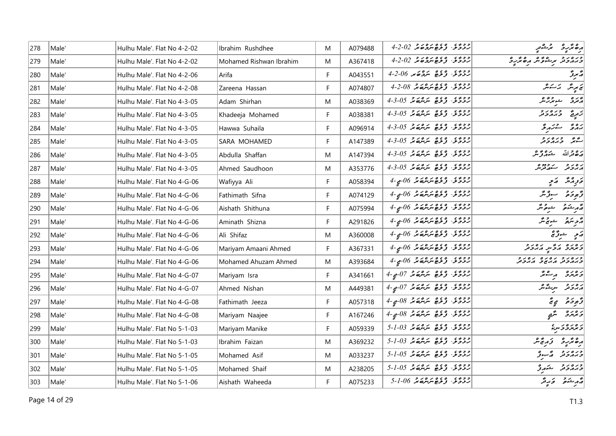| 278 | Male' | Hulhu Male'. Flat No 4-2-02 | Ibrahim Rushdhee        | M | A079488 | 322 - 329 مر <i>وكة</i> 2-02-4               | رە ئۆر ئەھمىشىر                                      |
|-----|-------|-----------------------------|-------------------------|---|---------|----------------------------------------------|------------------------------------------------------|
| 279 | Male' | Hulhu Male'. Flat No 4-2-02 | Mohamed Rishwan Ibrahim | M | A367418 | 2202 . ووقع مرد فقر 2-02-4                   | ورەرو برخوش مەمگرو                                   |
| 280 | Male' | Hulhu Male'. Flat No 4-2-06 | Arifa                   | F | A043551 | 2232 وقوع شر <i>وغ</i> ر 2-06-4              | ر سمبر تر<br>مسلم                                    |
| 281 | Male' | Hulhu Male'. Flat No 4-2-08 | Zareena Hassan          | F | A074807 | 322 - 32 <sub>9</sub> كوفي مربر 1-2-08 - 4-2 | ىم بىرىتىر<br>ئ<br>برسەمىر                           |
| 282 | Male' | Hulhu Male'. Flat No 4-3-05 | Adam Shirhan            | M | A038369 | 4-3-05 ووقع شهر 4-3-05                       | ے پر <i>ش</i> ر<br>پور ہ<br>مرکز                     |
| 283 | Male' | Hulhu Male'. Flat No 4-3-05 | Khadeeja Mohamed        | F | A038381 | 4-3-05 ووقع شهر 4-3-05                       | و ره ر د<br><i>د ب</i> رگرفر<br>  ترموقح             |
| 284 | Male' | Hulhu Male'. Flat No 4-3-05 | Hawwa Suhaila           | F | A096914 | 4-3-05 وي شهر 9-3-05 4-3-05                  | پر ه پچ<br>سەزىر ئى                                  |
| 285 | Male' | Hulhu Male'. Flat No 4-3-05 | SARA MOHAMED            | F | A147389 | 4-3-05 وء ۽ شهد 9-3-4                        | ر میر وره د و<br>سنگر وبرووتر                        |
| 286 | Male' | Hulhu Male'. Flat No 4-3-05 | Abdulla Shaffan         | M | A147394 | 4-3-05 ووقع شهر 4-3-05                       | پره قرالله<br>ىش <i>ەر ۋى</i> ر                      |
| 287 | Male' | Hulhu Male'. Flat No 4-3-05 | Ahmed Saudhoon          | M | A353776 | 4-3-05 وي شهر 9-3-05 4-3-05                  | پر ۱۶ و تر<br>سە دود ھ                               |
| 288 | Male' | Hulhu Male'. Flat No 4-G-06 | Wafiyya Ali             | F | A058394 | وووي. وتوقع مرمه مع 16- مي-4                 | ءَ په په په په                                       |
| 289 | Male' | Hulhu Male'. Flat No 4-G-06 | Fathimath Sifna         | F | A074129 | 333 - وقوع مرمه مرضى 16-ي-4                  | سەۋىگە<br>ۇ بوچە                                     |
| 290 | Male' | Hulhu Male'. Flat No 4-G-06 | Aishath Shithuna        | F | A075994 | وووي وووم وومح 06-ي-4                        | أقرم شوق الشوح مكر                                   |
| 291 | Male' | Hulhu Male'. Flat No 4-G-06 | Aminath Shizna          | F | A291826 | وووي وووبر مهتز 16-يې-4                      | أزويتكم المستورة يثر                                 |
| 292 | Male' | Hulhu Male'. Flat No 4-G-06 | Ali Shifaz              | M | A360008 | وووي وووم وومح 06-ي-4                        | أوسمج سنورج                                          |
| 293 | Male' | Hulhu Male'. Flat No 4-G-06 | Mariyam Amaani Ahmed    | F | A367331 | و و دي . و ۽ و مرمز ه جر -4 - و -4           | رەرە رۇس كەرد                                        |
| 294 | Male' | Hulhu Male'. Flat No 4-G-06 | Mohamed Ahuzam Ahmed    | M | A393684 | د د د و و و و د وړ د چې د 06-يې -4           | כנסג כ גסגם גסג כ<br>כממכת ממשכ ממכת                 |
| 295 | Male' | Hulhu Male'. Flat No 4-G-07 | Mariyam Isra            | F | A341661 | $-1 - 0$ حدود. وده مره ملابس السم            | ويروره مرتفقه                                        |
| 296 | Male' | Hulhu Male'. Flat No 4-G-07 | Ahmed Nishan            | M | A449381 | وووي. ووق مرمض 17-ي-4                        | سرىشەشر<br>بر 2 د تر<br>م <i>ر</i> بر <del>د</del> ر |
| 297 | Male' | Hulhu Male'. Flat No 4-G-08 | Fathimath Jeeza         | F | A057318 | وووي. وءه مرمود 08-يې-4                      | وحجوحهم<br>حٍ جَ                                     |
| 298 | Male' | Hulhu Male'. Flat No 4-G-08 | Mariyam Naajee          | F | A167246 | وووي. وءه مرمود 08-يې-4                      | ر ه ر ه<br>د بربرو<br>سرتني                          |
| 299 | Male' | Hulhu Male'. Flat No 5-1-03 | Mariyam Manike          | F | A059339 | 3-1-03 مريد مشهد 1-03-1                      | ر ه ر ه ر په                                         |
| 300 | Male' | Hulhu Male'. Flat No 5-1-03 | Ibrahim Faizan          | M | A369232 | 3-1-03 مرتفع مرتفقة 1-03-1-5                 | رە ئۆر ئەرتى ئىر                                     |
| 301 | Male' | Hulhu Male'. Flat No 5-1-05 | Mohamed Asif            | M | A033237 | 3-1-05 ووقع شهر 1-05-5                       | وره دو په دو                                         |
| 302 | Male' | Hulhu Male'. Flat No 5-1-05 | Mohamed Shaif           | M | A238205 | 322 - ووفي شهر 1-05-5                        | وره دو شهرو                                          |
| 303 | Male' | Hulhu Male'. Flat No 5-1-06 | Aishath Waheeda         | F | A075233 | 322 - وقوع <i>مربرھ بن 1-06-1</i>            | مەرشەم ئەبەتگە                                       |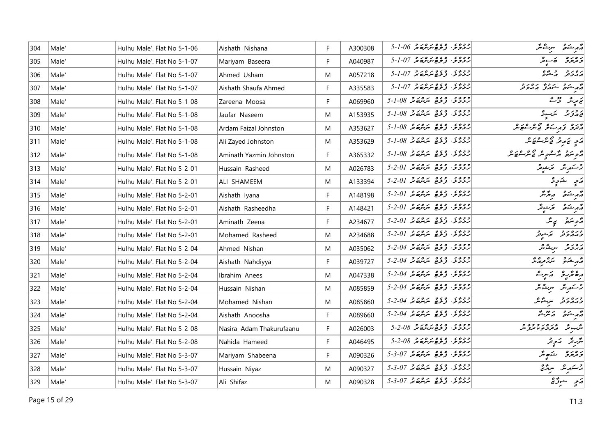| 304   | Male' | Hulhu Male'. Flat No 5-1-06 | Aishath Nishana          | F         | A300308 | 322 - وقوع مرمود 1-06-1-5                 | أقرم شوة المستحر متكر                                                  |
|-------|-------|-----------------------------|--------------------------|-----------|---------|-------------------------------------------|------------------------------------------------------------------------|
| 305   | Male' | Hulhu Male'. Flat No 5-1-07 | Mariyam Baseera          | F         | A040987 | 3-1-07 وي عرب معدد 1-07-5                 | دەرە ھەجد                                                              |
| 306   | Male' | Hulhu Male'. Flat No 5-1-07 | Ahmed Usham              | M         | A057218 | 1-1-07 وقوع مرمر 1-07-5                   | ره د د په و                                                            |
| 307   | Male' | Hulhu Male'. Flat No 5-1-07 | Aishath Shaufa Ahmed     | F         | A335583 | 1-1-07 وقوع مرمر 1-07-5                   | ه دشتم شهرز برورد<br>مهرشتمی شهرز مدونر                                |
| 308   | Male' | Hulhu Male'. Flat No 5-1-08 | Zareena Moosa            | F         | A069960 | 3-1-08 مرضى مركز 1-08-1-5                 | پرېږېد دحمق                                                            |
| 309   | Male' | Hulhu Male'. Flat No 5-1-08 | Jaufar Naseem            | M         | A153935 | 1-1-08 مريدة مستقامة 1-08-5               | ر ور د سرگرده<br>ق <i>امانی سرگر</i> ده                                |
| 310   | Male' | Hulhu Male'. Flat No 5-1-08 | Ardam Faizal Johnston    | M         | A353627 | 322 - ووقع شهر 1-08-1-5                   | وره که بروه ۵۵۰۰ وره                                                   |
| 311   | Male' | Hulhu Male'. Flat No 5-1-08 | Ali Zayed Johnston       | ${\sf M}$ | A353629 | 322 - ووقع شهر 1-08-1-5                   | أمو يمريز وموجع                                                        |
| $312$ | Male' | Hulhu Male'. Flat No 5-1-08 | Aminath Yazmin Johnston  | F         | A365332 | 222 - وقوع سَرْسَهَ جَيْ 1-08-1           | أثر برد الرائد و ما ما ما برا و برا و برا الله بر                      |
| 313   | Male' | Hulhu Male'. Flat No 5-2-01 | Hussain Rasheed          | M         | A026783 | 2 <i>-2-01 دَعَوَى سَرْسُهَ جَ</i> 10-2-5 | 2ىسكىرىنىڭ ئىككى ئىشىر                                                 |
| 314   | Male' | Hulhu Male'. Flat No 5-2-01 | ALI SHAMEEM              | M         | A133394 | 3-2-01 روم شهد ال-2-5                     | ړې شوه                                                                 |
| 315   | Male' | Hulhu Male'. Flat No 5-2-01 | Aishath Iyana            | F         | A148198 | 3-2-01 روم شهد بين 10-2-5                 | ەرەشىر<br>ا پر <sub>مر</sub> شوځو<br>ا                                 |
| 316   | Male' | Hulhu Male'. Flat No 5-2-01 | Aishath Rasheedha        | F         | A148421 | 3-2-01 روم شهد ال-2-5                     | أقهر مشكاتهم المتمر سيوفكر                                             |
| 317   | Male' | Hulhu Male'. Flat No 5-2-01 | Aminath Zeena            | F         | A234677 | 3-2-01 روم شهد ال-2-5                     | ړٌ د سره پې سر                                                         |
| 318   | Male' | Hulhu Male'. Flat No 5-2-01 | Mohamed Rasheed          | M         | A234688 | 2 <i>-2-01 دَعَوَى سَرْسُهَ جَ</i> 10-2-5 | وره رو کرشونر<br>وبردونر کرشونر                                        |
| 319   | Male' | Hulhu Male'. Flat No 5-2-04 | Ahmed Nishan             | M         | A035062 | 222 - 329 سَرْسَهَ جَيْ 2-04-5            | رەرد سەشھر                                                             |
| 320   | Male' | Hulhu Male'. Flat No 5-2-04 | Aishath Nahdiyya         | F         | A039727 | 222 - 329 سَرْسَهَ جَيْ 2-04-5            | مەر ئىسى ئىر ئىر ئەر                                                   |
| 321   | Male' | Hulhu Male'. Flat No 5-2-04 | Ibrahim Anees            | M         | A047338 | 3-2-04 مرتفع مرتب <i>عة جو 1</i> 0-2-5    | رە ئۆر ئەرب                                                            |
| 322   | Male' | Hulhu Male'. Flat No 5-2-04 | Hussain Nishan           | M         | A085859 | 3-2-04 مريدة مستعدد 10-2-5                | 2 كىرىگر سرىشىگىر                                                      |
| 323   | Male' | Hulhu Male'. Flat No 5-2-04 | Mohamed Nishan           | M         | A085860 | 222 - 329 سَرْسَهَ جَيْ 2-04-5            | و رە ر د<br><i>د بر</i> گرىز<br>سرىشەشر                                |
| 324   | Male' | Hulhu Male'. Flat No 5-2-04 | Aishath Anoosha          | F         | A089660 | 3-2-04 مرتفع مرتب <i>عة جو 1</i> 0-2-5    | مەر ئىكى ئەرەر ئە                                                      |
| 325   | Male' | Hulhu Male'. Flat No 5-2-08 | Nasira Adam Thakurufaanu | F         | A026003 | 3-2-08 ويحفظ مرتبر 18-2-5-5               | ش شده در ۲۶۶۶ و و در و در و در این شر<br>سربب بر سر ایران شروع مورو شر |
| 326   | Male' | Hulhu Male'. Flat No 5-2-08 | Nahida Hameed            | F         | A046495 | 3-2-08 ر <i>وڤ مرموھ كى 2-08-</i> 5       | مَرْرِمَّز كَمَ رِمْرِ                                                 |
| 327   | Male' | Hulhu Male'. Flat No 5-3-07 | Mariyam Shabeena         | F         | A090326 | 3-3-07 ووقع شهر 5-3-07                    | أروره شوه ش                                                            |
| 328   | Male' | Hulhu Male'. Flat No 5-3-07 | Hussain Niyaz            | M         | A090327 | - 3-3-07 وي شهره جزال-3-5                 | 2سەر شەر سرىدى                                                         |
| 329   | Male' | Hulhu Male'. Flat No 5-3-07 | Ali Shifaz               | ${\sf M}$ | A090328 | 2 - 3 - 3 - 9 مرش 2 - 3 - 5 - 5           | اړ <sub>ک</sub> و شورځ                                                 |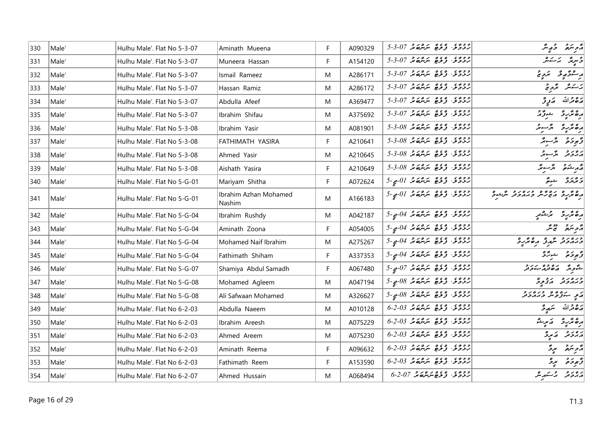| 330 | Male' | Hulhu Male'. Flat No 5-3-07 | Aminath Mueena                  | F           | A090329 |                                                                                                  | أأزويتم وتمايته                  |
|-----|-------|-----------------------------|---------------------------------|-------------|---------|--------------------------------------------------------------------------------------------------|----------------------------------|
| 331 | Male' | Hulhu Male'. Flat No 5-3-07 | Muneera Hassan                  | F           | A154120 |                                                                                                  | دسریگ   پرسکس                    |
| 332 | Male' | Hulhu Male'. Flat No 5-3-07 | Ismail Rameez                   | M           | A286171 |                                                                                                  | ر شۇر ئۇچ                        |
| 333 | Male' | Hulhu Male'. Flat No 5-3-07 | Hassan Ramiz                    | M           | A286172 | - 3-3-07 وي شهره جزال-3-5                                                                        | پرسەنئە ئەبرىقى                  |
| 334 | Male' | Hulhu Male'. Flat No 5-3-07 | Abdulla Afeef                   | M           | A369477 | - 3-3-07 وي شهره جزال-3-5                                                                        | برە قراللە<br>ەزىۋ               |
| 335 | Male' | Hulhu Male'. Flat No 5-3-07 | Ibrahim Shifau                  | M           | A375692 | 3-3-07 وقوع شهره 10-3-5                                                                          | ە ھەترىر ۋ<br>شەۋكە              |
| 336 | Male' | Hulhu Male'. Flat No 5-3-08 | Ibrahim Yasir                   | M           | A081901 | -3-08 ووقع شهر 10-3-5                                                                            | ەرھ ئ <sup>ۆ</sup> ر ۋ<br>ترسىتى |
| 337 | Male' | Hulhu Male'. Flat No 5-3-08 | FATHIMATH YASIRA                | F           | A210641 | -3-08 ووقع شهر 10-3-5                                                                            | أزَّهِ دَرَهُ قُرْسِيَّةٌ        |
| 338 | Male' | Hulhu Male'. Flat No 5-3-08 | Ahmed Yasir                     | M           | A210645 | -3-3-08 مرتكز من 18-3-5                                                                          | أرەر بۇسىر                       |
| 339 | Male' | Hulhu Male'. Flat No 5-3-08 | Aishath Yasira                  | F           | A210649 | 3-3-08 كوفوه مرتكزه كي 3-3-08                                                                    | أصمر مشوقهم وترسونني             |
| 340 | Male' | Hulhu Male'. Flat No 5-G-01 | Mariyam Shitha                  | F           | A072624 | $5 - 9$ حديث وي مرش ال-مي-5                                                                      | رەرە شەھ                         |
| 341 | Male' | Hulhu Male'. Flat No 5-G-01 | Ibrahim Azhan Mohamed<br>Nashim | ${\sf M}$   | A166183 | $5 - 91$ حَدَّمَ حَدَّمَ مَسْتَمَعَ $01 - 9$                                                     | ره به ۲۰۰۵ ورور و په وره د       |
| 342 | Male' | Hulhu Male'. Flat No 5-G-04 | Ibrahim Rushdy                  | M           | A042187 | $5 - 94$ حِمْدَةِ وَمَحْمَدِ مِنْ $-94$                                                          | أرە ئۇر ئىس ئىشتور               |
| 343 | Male' | Hulhu Male'. Flat No 5-G-04 | Aminath Zoona                   | F           | A054005 | رووي. وي مرهوم 10-ي-5                                                                            | أزمح سرة فلتحميش                 |
| 344 | Male' | Hulhu Male'. Flat No 5-G-04 | Mohamed Naif Ibrahim            | M           | A275267 | - دووي وي ه شره ه پر 04- پا-                                                                     | כנים כל ייתור תסילים             |
| 345 | Male' | Hulhu Male'. Flat No 5-G-04 | Fathimath Shiham                | F           | A337353 | دووی ووه برمه چر 04-يې-5                                                                         | وٌجوحَمَ شَرَرَّةُ               |
| 346 | Male' | Hulhu Male'. Flat No 5-G-07 | Shamiya Abdul Samadh            | $\mathsf F$ | A067480 | - دووي وي ه شره ه 17- پي- 5                                                                      | أشوره رە دەررد                   |
| 347 | Male' | Hulhu Male'. Flat No 5-G-08 | Mohamed Agleem                  | M           | A047194 | $5 - 98$ حَدَّمَ حَرْبَ مَنْ اللَّهُ عَلَى $9 - 8$                                               | ورەرو رورو                       |
| 348 | Male' | Hulhu Male'. Flat No 5-G-08 | Ali Safwaan Mohamed             | M           | A326627 | 222 - ووق مرمون 28- م -5                                                                         | كرو بدوون وره رو                 |
| 349 | Male' | Hulhu Male'. Flat No 6-2-03 | Abdulla Naeem                   | M           | A010128 | 333. ووقع شهر 2-03-6-6                                                                           | رَصْحْرَاللَّهُ سَمَمِهِ وَ      |
| 350 | Male' | Hulhu Male'. Flat No 6-2-03 | Ibrahim Areesh                  | M           | A075229 | 333. ووقع شهر 2-03-6-6                                                                           | أرەنگرىرى كەيرىش                 |
| 351 | Male' | Hulhu Male'. Flat No 6-2-03 | Ahmed Areem                     | M           | A075230 | 333. ووقع شهر 2-03-6-6                                                                           | د ه د چر د کمبرد                 |
| 352 | Male' | Hulhu Male'. Flat No 6-2-03 | Aminath Reema                   | F           | A096632 | $6 - 2 - 03$ $\sim$ $\sim$ $6$ $\sim$ $2$ $\sim$ $3$ $\sim$ $2$ $\sim$ $3$ $\sim$ $2$ $\sim$ $3$ | أرمح سرج<br>ىبرىژ                |
| 353 | Male' | Hulhu Male'. Flat No 6-2-03 | Fathimath Reem                  | F           | A153590 | $6-2-03$ محمد حكم 3.5-2                                                                          | و مر د<br>اقرامو خرم<br>بره      |
| 354 | Male' | Hulhu Male'. Flat No 6-2-07 | Ahmed Hussain                   | M           | A068494 | 322 - ووقع شرش 10-2-6                                                                            | أرور وحسكه مثر                   |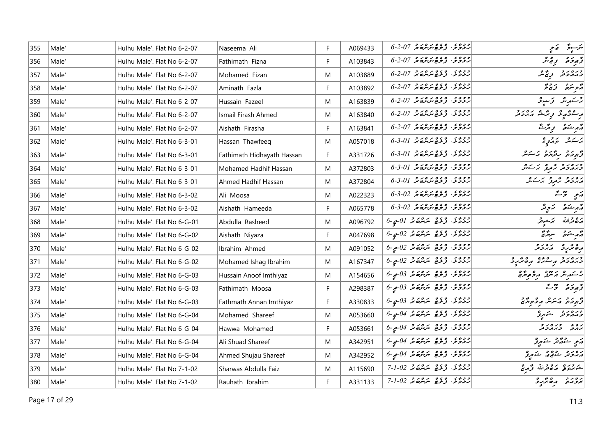| 355 | Male' | Hulhu Male'. Flat No 6-2-07 | Naseema Ali                | F  | A069433 | 333 - 33 <i>5 مربرھ ب</i> ر 2-07-6                                                                                                         | برَسودٌ    دَبِي                                                                        |
|-----|-------|-----------------------------|----------------------------|----|---------|--------------------------------------------------------------------------------------------------------------------------------------------|-----------------------------------------------------------------------------------------|
| 356 | Male' | Hulhu Male'. Flat No 6-2-07 | Fathimath Fizna            | F. | A103843 | $6 - 2 - 07$ $22 - 9$ $2 - 2$                                                                                                              | قهوخوه وعاشر                                                                            |
| 357 | Male' | Hulhu Male'. Flat No 6-2-07 | Mohamed Fizan              | M  | A103889 | 322 - وقوع مرمود 2-07-6-6                                                                                                                  | و ره ر و<br><i>د بر</i> گر تر<br>ی پچ مگر                                               |
| 358 | Male' | Hulhu Male'. Flat No 6-2-07 | Aminath Fazla              | F  | A103892 | 322 - 329 مري <i>ز ھئ</i> ي 10-2-6                                                                                                         | ترج سكتم فتتحافى                                                                        |
| 359 | Male' | Hulhu Male'. Flat No 6-2-07 | Hussain Fazeel             | M  | A163839 | $6 - 2 - 07$ $\frac{2}{3}$ $\frac{2}{3}$ $\frac{2}{3}$ $\frac{2}{3}$ $\frac{2}{3}$ $\frac{2}{3}$ $\frac{2}{3}$ $\frac{2}{3}$ $\frac{2}{3}$ | چەشەر بى تەسپى                                                                          |
| 360 | Male' | Hulhu Male'. Flat No 6-2-07 | Ismail Firash Ahmed        | M  | A163840 | 32° و و و و مري <i>زه پر 07-2-6</i>                                                                                                        | ر موځ د تر پژه د برد د                                                                  |
| 361 | Male' | Hulhu Male'. Flat No 6-2-07 | Aishath Firasha            | F. | A163841 | 3200 - ووقع مريد 10-2-6                                                                                                                    | أقهر مشكاته وترمثه                                                                      |
| 362 | Male' | Hulhu Male'. Flat No 6-3-01 | Hassan Thawfeeq            | M  | A057018 | 329 - ووقع مرشرة من 10-3-6                                                                                                                 | پرسەش ئۇم ئوقى                                                                          |
| 363 | Male' | Hulhu Male'. Flat No 6-3-01 | Fathimath Hidhayath Hassan | F  | A331726 | 322 - ووقع مرمر من 10-3-6                                                                                                                  | توجوخو برقدمو برسكس                                                                     |
| 364 | Male' | Hulhu Male'. Flat No 6-3-01 | Mohamed Hadhif Hassan      | M  | A372803 | 32 <i>3 - ووفا مرموم كى 10-3-6</i>                                                                                                         | دره د در رقبرو از کند                                                                   |
| 365 | Male' | Hulhu Male'. Flat No 6-3-01 | Ahmed Hadhif Hassan        | M  | A372804 | 32° و و و و مرور ح د 10-3-6                                                                                                                | أرودو ومروح برسكس                                                                       |
| 366 | Male' | Hulhu Male'. Flat No 6-3-02 | Ali Moosa                  | M  | A022323 | 32 <i>3 - ئۇ قۇغ ئىر شەن 2</i> 02-6                                                                                                        | $23 - 26$                                                                               |
| 367 | Male' | Hulhu Male'. Flat No 6-3-02 | Aishath Hameeda            | F  | A065778 | 32 <i>3 - ووفا مرموماتي 20-3-6</i>                                                                                                         | وكركشو كالمحياة                                                                         |
| 368 | Male' | Hulhu Male'. Flat No 6-G-01 | Abdulla Rasheed            | M  | A096792 | $6 - 01$ حَدَّدٌ وَوَوْعَ مَرْسُرَةٌ $6 - 1$ -مِي                                                                                          | <b>مَرْهُ مَّرَ</b> اللَّهُ تَمَرْشُومَّر                                               |
| 369 | Male' | Hulhu Male'. Flat No 6-G-02 | Aishath Niyaza             | F  | A047698 | وووي. ودوه مروه پر 02-يې-6                                                                                                                 | أقرم شدة سرقرة                                                                          |
| 370 | Male' | Hulhu Male'. Flat No 6-G-02 | Ibrahim Ahmed              | M  | A091052 | $6 - 02$ حِمْدُ حَمْدَ حَمْدِ حَمْدِ حَمْدِ حَمْدِ حَمْدِ حَمْدِ حَمْدِ حَمْدِ حَمْدِ حَمْدِ حَمْدِ حَمْدِ حَمْدِ                          | رەپرىي رەرد                                                                             |
| 371 | Male' | Hulhu Male'. Flat No 6-G-02 | Mohamed Ishag Ibrahim      | M  | A167347 | دووي وءه برموري 20-ي-6                                                                                                                     | ورەرو مەمۇم مەمگرو                                                                      |
| 372 | Male' | Hulhu Male'. Flat No 6-G-03 | Hussain Anoof Imthiyaz     | M  | A154656 | $6 - 03$ حِمْدُ حَمْدَ قَوْمِ حَمْدِ حَمَدَ $03 - 8$                                                                                       | ا جمسکر میں مقبر اس کا مقبر ہو جاتا ہے۔<br>اس کے مقبر مقبر کی مقبر میں مقبر ہو جاتا ہے۔ |
| 373 | Male' | Hulhu Male'. Flat No 6-G-03 | Fathimath Moosa            | F  | A298387 | $6 - 03$ حَدَّثَ وَعَدَّ مَرْسُرَةَ جَلَّ $03 - 6$                                                                                         | ژ <sub>بو څ</sub> و د دي.                                                               |
| 374 | Male' | Hulhu Male'. Flat No 6-G-03 | Fathmath Annan Imthiyaz    | F  | A330833 | دووی وووم ترتره تر 03-يې-6                                                                                                                 | وتجوخوه ويترشر مرفرمرفع                                                                 |
| 375 | Male' | Hulhu Male'. Flat No 6-G-04 | Mohamed Shareef            | M  | A053660 | وووي. وءو مرمود 04-ي-6                                                                                                                     | ورەر دىمبر                                                                              |
| 376 | Male' | Hulhu Male'. Flat No 6-G-04 | Hawwa Mohamed              | F  | A053661 | دووي   ووه   مرمز 14-يې-6                                                                                                                  | رەپ درەرد<br>بەھر <i>ה</i> بەردىر                                                       |
| 377 | Male' | Hulhu Male'. Flat No 6-G-04 | Ali Shuad Shareef          | M  | A342951 | $6 - 9$ حدد و دو سربره بر 14-يې -6                                                                                                         | ړې څرگه ځېږ                                                                             |
| 378 | Male' | Hulhu Male'. Flat No 6-G-04 | Ahmed Shujau Shareef       | M  | A342952 | $6 - 9 - 12$ حرم من المستمر 14-يع-6                                                                                                        | رەر دەپ ئەر                                                                             |
| 379 | Male' | Hulhu Male'. Flat No 7-1-02 | Sharwas Abdulla Faiz       | M  | A115690 | 322 - ووفي شهر 1-02-7                                                                                                                      | شەمرەق ھەقراللە ۋەبى                                                                    |
| 380 | Male' | Hulhu Male'. Flat No 7-1-02 | Rauhath Ibrahim            | F. | A331133 | دوم، وده شهره 1-02-7                                                                                                                       | برەرد رەئزىر                                                                            |
|     |       |                             |                            |    |         |                                                                                                                                            |                                                                                         |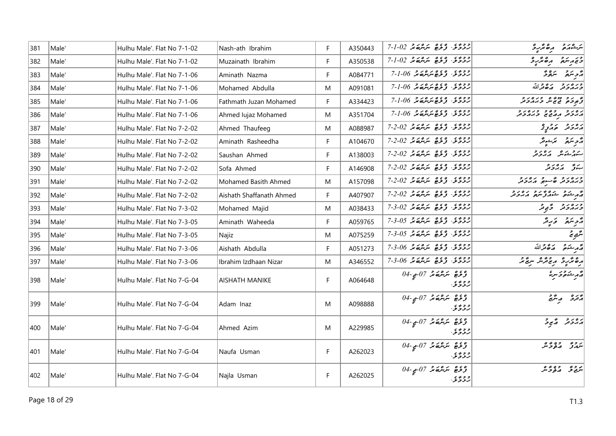| 381 | Male' | Hulhu Male'. Flat No 7-1-02 | Nash-ath Ibrahim         | F. | A350443 |                                                                                                                                                                                                                                                         | شرعده مصغربر                                                                                                  |
|-----|-------|-----------------------------|--------------------------|----|---------|---------------------------------------------------------------------------------------------------------------------------------------------------------------------------------------------------------------------------------------------------------|---------------------------------------------------------------------------------------------------------------|
| 382 | Male' | Hulhu Male'. Flat No 7-1-02 | Muzainath Ibrahim        | F  | A350538 | 333 - 339 مركزم 20-1-7                                                                                                                                                                                                                                  | دىم ئىگە مەھمىي د                                                                                             |
| 383 | Male' | Hulhu Male'. Flat No 7-1-06 | Aminath Nazma            | F  | A084771 | 222 كى بولغا ئاس 1-06-7                                                                                                                                                                                                                                 | أأوسكم المتموم                                                                                                |
| 384 | Male' | Hulhu Male'. Flat No 7-1-06 | Mohamed Abdulla          | M  | A091081 | 332 - 33 <sub>9</sub> مري <i>مھ ج</i> 1-06-7                                                                                                                                                                                                            | وره رو ده دلله                                                                                                |
| 385 | Male' | Hulhu Male'. Flat No 7-1-06 | Fathmath Juzan Mohamed   | F  | A334423 | 7-1-06 رُووْع مَرْسْهَمْ 1-06-7                                                                                                                                                                                                                         | كر دو دوره و دره د و                                                                                          |
| 386 | Male' | Hulhu Male'. Flat No 7-1-06 | Ahmed Iujaz Mohamed      | M  | A351704 | 33 <i>32. ووقع مرمومة ك</i> ـ1-06                                                                                                                                                                                                                       | גם ג' כני כגם ביטרי.<br>הגבע ההבש בגהכת                                                                       |
| 387 | Male' | Hulhu Male'. Flat No 7-2-02 | Ahmed Thaufeeg           | M  | A088987 | 322 - وقوع شهر 2-02-7                                                                                                                                                                                                                                   | أرور والمحمد والمحمدة المحمدة المحمدة المحمدة المحمدة المحمدة المحمدة المحمدة المحمدة المحمدة المحمدة المحمدة |
| 388 | Male' | Hulhu Male'. Flat No 7-2-02 | Aminath Rasheedha        | F  | A104670 | 2 مِحْمَد وَمُحْمَد 2-2-7                                                                                                                                                                                                                               | أأرجاح المرشوقر                                                                                               |
| 389 | Male' | Hulhu Male'. Flat No 7-2-02 | Saushan Ahmed            | F  | A138003 |                                                                                                                                                                                                                                                         | سەر شەھر بەر دەر د                                                                                            |
| 390 | Male' | Hulhu Male'. Flat No 7-2-02 | Sofa Ahmed               | F. | A146908 | 2202 روم وتحيط س <i>تر شهر 2-02-7</i>                                                                                                                                                                                                                   | سوش مەردىر                                                                                                    |
| 391 | Male' | Hulhu Male'. Flat No 7-2-02 | Mohamed Basith Ahmed     | M  | A157098 | 32 - 32 كوفريق مرتكزي 2-2-7                                                                                                                                                                                                                             |                                                                                                               |
| 392 | Male' | Hulhu Male'. Flat No 7-2-02 | Aishath Shaffanath Ahmed | F  | A407907 | 2-2-02 وي شهره 2-2-7                                                                                                                                                                                                                                    | د دره دره دره در در در د                                                                                      |
| 393 | Male' | Hulhu Male'. Flat No 7-3-02 | Mohamed Majid            | M  | A038433 | 232 - ووقع شهر 10-3-7                                                                                                                                                                                                                                   | ورەر د ۋې تر                                                                                                  |
| 394 | Male' | Hulhu Male'. Flat No 7-3-05 | Aminath Waheeda          | E  | A059765 | 23-05 وقوع شهر 05-7-7                                                                                                                                                                                                                                   | ړٌ پر سَرَهُ کَر پر تُر                                                                                       |
| 395 | Male' | Hulhu Male'. Flat No 7-3-05 | Najiz                    | M  | A075259 | 322 . ووي شهر 1.5-7-7                                                                                                                                                                                                                                   | متزج تح                                                                                                       |
| 396 | Male' | Hulhu Male'. Flat No 7-3-06 | Aishath Abdulla          | F  | A051273 | 3-3-06 روم شهر 06-3-7                                                                                                                                                                                                                                   | صمر شدة صكر الله                                                                                              |
| 397 | Male' | Hulhu Male'. Flat No 7-3-06 | Ibrahim Izdhaan Nizar    | M  | A346552 | 3-3-06 روم شهر 06-3-7                                                                                                                                                                                                                                   | أرەغرىر دېمۇرىگر سرچمۇ                                                                                        |
| 398 | Male' | Hulhu Male'. Flat No 7-G-04 | <b>AISHATH MANIKE</b>    | F  | A064648 | $0$ وع من الله على السلم والسلم والسلم والسلم والسلم والسلم والسلم والسلم والسلم والسلم والسلم والسلم والسلم والسلم والسلم والسلم والسلم والسلم والسلم والسلم والسلم والسلم والسلم والسلم والسلم والسلم والسلم والسلم والسلم<br>و و و ء .<br>رند و تو . | ۇ ئەستوق ئىرىئا                                                                                               |
| 399 | Male' | Hulhu Male'. Flat No 7-G-04 | Adam Inaz                | M  | A098888 | $0$ و د محمد $0$ -مي- $0$<br>ر و و و .<br>رنگوری                                                                                                                                                                                                        | أرتمرد وبدعج                                                                                                  |
| 400 | Male' | Hulhu Male'. Flat No 7-G-04 | Ahmed Azim               | M  | A229985 | و ۽ وسر مش <i>هد 1</i> 7-ي-04<br>و و » ».<br>رووگو.                                                                                                                                                                                                     | ג פי ג בי בי                                                                                                  |
| 401 | Male' | Hulhu Male'. Flat No 7-G-04 | Naufa Usman              | F  | A262023 | $04 - 07$ مَرْسَعَة $-07$<br>و و و ي.<br>رندگر                                                                                                                                                                                                          | بردو دەۋەر                                                                                                    |
| 402 | Male' | Hulhu Male'. Flat No 7-G-04 | Najla Usman              | F. | A262025 | $04$ وع ه مركز $07$ - مو $-$ 10<br>و و و ء .<br>رنونو تو .                                                                                                                                                                                              | پر ده ده وره و.<br>سرچ کې منځو شر                                                                             |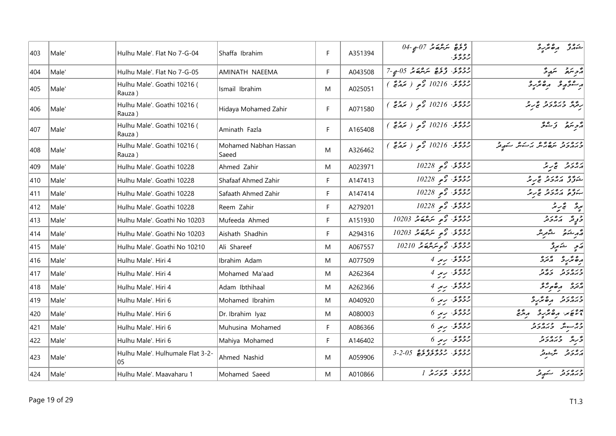| 403 | Male' | Hulhu Male'. Flat No 7-G-04            | Shaffa Ibrahim                 | F. | A351394 | $0$ و د مسلم من السلم من السلم من السلم من السلم من السلم من السلم من السلم من السلم من السلم من السلم من السلم من ا | أشهرتى مرضتريرة                    |
|-----|-------|----------------------------------------|--------------------------------|----|---------|----------------------------------------------------------------------------------------------------------------------|------------------------------------|
| 404 | Male' | Hulhu Male'. Flat No 7-G-05            | AMINATH NAEEMA                 | F  | A043508 | وووي وي مرەمكى 05-يې-7                                                                                               | أأروبتهم بتمديح                    |
| 405 | Male' | Hulhu Male'. Goathi 10216 (<br>Rauza)  | Ismail Ibrahim                 | M  | A025051 | ر بود محمد 10216 محمد (محمد محمد محمد محمد المحمد محمد المحمد محمد المحمد المحمد المحمد المحمد وسلم ا                | وحورو وەئزىر                       |
| 406 | Male' | Hulhu Male'. Goathi 10216 (<br>Rauza)  | Hidaya Mohamed Zahir           | F  | A071580 | ر بروسي 10216 كومبر ( بروم كانتا )                                                                                   | ریمه وره دو ځری                    |
| 407 | Male' | Hulhu Male'. Goathi 10216 (<br>Rauza)  | Aminath Fazla                  | F. | A165408 | ر بروستان 10216 كومبر ( برم <sup>وس</sup> تان)                                                                       | أأجرسكم وكالمستوقر                 |
| 408 | Male' | Hulhu Male'. Goathi 10216 (<br>Rauza)  | Mohamed Nabhan Hassan<br>Saeed | M  | A326462 | الْمِنْوَنْجُوْ. 10216 كَوْمُو ( مَدْمَدْنَعْ )                                                                      | ورەرو رەپەە رىبەھ ئىھار            |
| 409 | Male' | Hulhu Male'. Goathi 10228              | Ahmed Zahir                    | M  | A023971 | $10228$ جَمْعَ جَمْعِ $2$                                                                                            | رەرو ئےرنز                         |
| 410 | Male' | Hulhu Male'. Goathi 10228              | Shafaaf Ahmed Zahir            | F. | A147413 | $10228$ جَمْعَةَ جَمْعِ 20228                                                                                        | خۇتى بەرد ئەرىر                    |
| 411 | Male' | Hulhu Male'. Goathi 10228              | Safaath Ahmed Zahir            | F. | A147414 | $10228$ جِمْعَةَ جَمْعِي $2$                                                                                         | ب دوم در ده در و در بر             |
| 412 | Male' | Hulhu Male'. Goathi 10228              | Reem Zahir                     | F. | A279201 | $10228$ جِمْعَةَ جَمْعِ 20228                                                                                        | پرده تج پر پر                      |
| 413 | Male' | Hulhu Male'. Goathi No 10203           | Mufeeda Ahmed                  | F. | A151930 | 33 - محمد مستقامته 10203                                                                                             | وَرٍ مَدور                         |
| 414 | Male' | Hulhu Male'. Goathi No 10203           | Aishath Shadhin                | F. | A294316 | $10203$ جَمْعَةً جَمْعِ مَرْسُوْعَةً جَمْعَةً $ 10203\rangle$                                                        | د مشور شوره<br>م                   |
| 415 | Male' | Hulhu Male'. Goathi No 10210           | Ali Shareef                    | M  | A067557 | 23 كى ئۇن كى مەسكىھە ئىس 10210                                                                                       | أەكمىي سكامىرى                     |
| 416 | Male' | Hulhu Male', Hiri 4                    | Ibrahim Adam                   | M  | A077509 | رودی سربر 4                                                                                                          | ەھ <i>ئەرە ھەد</i> ە               |
| 417 | Male' | Hulhu Male'. Hiri 4                    | Mohamed Ma'aad                 | M  | A262364 | رودی ربر 4                                                                                                           | כנסנכ נמכ<br>כ <i>נ</i> ונכנג כולנ |
| 418 | Male' | Hulhu Male'. Hiri 4                    | Adam Ibthihaal                 | M  | A262366 | رودی ریز 4                                                                                                           | وره مه ورمو                        |
| 419 | Male' | Hulhu Male'. Hiri 6                    | Mohamed Ibrahim                | M  | A040920 | رومحو سربر 6                                                                                                         | כמחכת הפתיכ                        |
| 420 | Male' | Hulhu Male'. Hiri 6                    | Dr. Ibrahim Iyaz               | M  | A080003 | رومځو ريبه 6                                                                                                         | پر پر ہے<br>بر ہر س                |
| 421 | Male' | Hulhu Male'. Hiri 6                    | Muhusina Mohamed               | F. | A086366 | 333 مايل 6<br>  مركز تخريج ك                                                                                         | ووسيس ورەرد                        |
| 422 | Male' | Hulhu Male'. Hiri 6                    | Mahiya Mohamed                 | F. | A146402 | ر دوره به سر 6<br> سر دوره برس                                                                                       | و دره دره د                        |
| 423 | Male' | Hulhu Male'. Hulhumale Flat 3-2-<br>05 | Ahmed Nashid                   | M  | A059906 | 3-2-05 223333 3-2-5                                                                                                  | رەرە شىدۇ.<br>مەركىر شىشەم         |
| 424 | Male' | Hulhu Male'. Maavaharu 1               | Mohamed Saeed                  | M  | A010866 | وووي. ورزو 1                                                                                                         | ورەر دېم سەمەتر                    |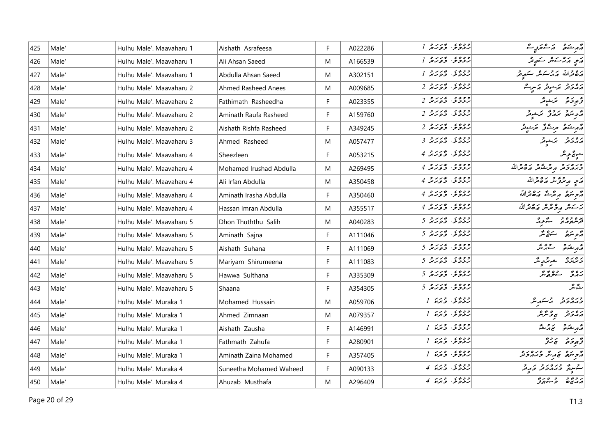| 425 | Male' | Hulhu Male'. Maavaharu 1 | Aishath Asrafeesa          | F         | A022286 | ووي پرديد ا                       | ۇرمىسىم ئەسىرىي ئى                                                                                                                                                                                                             |
|-----|-------|--------------------------|----------------------------|-----------|---------|-----------------------------------|--------------------------------------------------------------------------------------------------------------------------------------------------------------------------------------------------------------------------------|
| 426 | Male' | Hulhu Male'. Maavaharu 1 | Ali Ahsan Saeed            | M         | A166539 | ووي. په <i>در</i> د 1             | ړې پرور پر سه د کرد                                                                                                                                                                                                            |
| 427 | Male' | Hulhu Male'. Maavaharu 1 | Abdulla Ahsan Saeed        | M         | A302151 | وووي بحور پر 1                    | حصص الله حرجه سكر سكر محمد حريقه                                                                                                                                                                                               |
| 428 | Male' | Hulhu Male'. Maavaharu 2 | <b>Ahmed Rasheed Anees</b> | M         | A009685 | ووي په درج 2                      | أرور و برجونر أرسي                                                                                                                                                                                                             |
| 429 | Male' | Hulhu Male'. Maavaharu 2 | Fathimath Rasheedha        | F         | A023355 | ووي په <i>در</i> د 2              | أَوْجِرْحَمْ بَرَجْرِشْ                                                                                                                                                                                                        |
| 430 | Male' | Hulhu Male'. Maavaharu 2 | Aminath Raufa Rasheed      | F         | A159760 | ووي په درج 2                      | أأروسهم بمرارق بمشوقر                                                                                                                                                                                                          |
| 431 | Male' | Hulhu Male'. Maavaharu 2 | Aishath Rishfa Rasheed     | F         | A349245 | ووي په درج 2                      | أأور منكم أور منظر أو أور من المريض وتر                                                                                                                                                                                        |
| 432 | Male' | Hulhu Male'. Maavaharu 3 | Ahmed Rasheed              | M         | A057477 | وووي پورتر 3<br>ترنوبو ژوئرنگر 3  | ره ر و سر سر در در استان به مرد استان به در استان به در استان به دار به دست به دست به بازداد به استان به دست<br>استان به دست به دست به دست به دست به دست به دست به دست به دست به دست به دست به دست به دست به دست به دست به دست |
| 433 | Male' | Hulhu Male'. Maavaharu 4 | Sheezleen                  | F         | A053215 | وووي په درج 4                     | ے <i>پی پی پ</i> ر                                                                                                                                                                                                             |
| 434 | Male' | Hulhu Male'. Maavaharu 4 | Mohamed Irushad Abdulla    | M         | A269495 | ووي په درو 4                      | وره رو مرتب و مردور                                                                                                                                                                                                            |
| 435 | Male' | Hulhu Male'. Maavaharu 4 | Ali Irfan Abdulla          | M         | A350458 | ووي پور په ۶                      | أصوبه وبتروشه وكالحدالله                                                                                                                                                                                                       |
| 436 | Male' | Hulhu Male'. Maavaharu 4 | Aminath Irasha Abdulla     | F         | A350460 | ووي په درو 4                      | مَّحِسَمَةً مِعَّتْ مَصْقَرَاللَّهُ                                                                                                                                                                                            |
| 437 | Male' | Hulhu Male'. Maavaharu 4 | Hassan Imran Abdulla       | M         | A355517 | ووي پور په ۶                      | برسكر محترم مقعرالله                                                                                                                                                                                                           |
| 438 | Male' | Hulhu Male'. Maavaharu 5 | Dhon Thuththu Salih        | M         | A040283 | ووي په درج 5                      | پره وه و شوره<br>ترسرچ در جگور                                                                                                                                                                                                 |
| 439 | Male' | Hulhu Male'. Maavaharu 5 | Aminath Sajna              | F         | A111046 | ووي په درج 5<br>رندگرنۍ گرمرنځي 5 | ړٌ د سَرِي سَرَيْ سَرَ                                                                                                                                                                                                         |
| 440 | Male' | Hulhu Male'. Maavaharu 5 | Aishath Suhana             | F         | A111069 | ووي په درج 5<br>رنوبو بورند 5     | ۇرىشق سىرتىر                                                                                                                                                                                                                   |
| 441 | Male' | Hulhu Male'. Maavaharu 5 | Mariyam Shirumeena         | F         | A111083 | ووي په درسې 5<br>رندونو، ووريز 5  | د ۱۶ د موسر پر شرح پیش                                                                                                                                                                                                         |
| 442 | Male' | Hulhu Male'. Maavaharu 5 | Hawwa Sulthana             | F         | A335309 | ووي په درسې 5<br>رندونو، ووريز 5  | ر ده پر پر<br>ر ه بو<br>بر د ر                                                                                                                                                                                                 |
| 443 | Male' | Hulhu Male'. Maavaharu 5 | Shaana                     | F         | A354305 | ووي په درج 5<br>رندونو، ووريز 5   | شەمىگە                                                                                                                                                                                                                         |
| 444 | Male' | Hulhu Male'. Muraka 1    | Mohamed Hussain            | M         | A059706 | $1 - 2 - 3 - 3$                   | ورەرو ئەسكەش                                                                                                                                                                                                                   |
| 445 | Male' | Hulhu Male'. Muraka 1    | Ahmed Zimnaan              | M         | A079357 | رووي وبراس 1                      | גפקר הפיתות                                                                                                                                                                                                                    |
| 446 | Male' | Hulhu Male'. Muraka 1    | Aishath Zausha             | F         | A146991 | د دي. درن 1                       | مەر شەق تى ئىش                                                                                                                                                                                                                 |
| 447 | Male' | Hulhu Male'. Muraka 1    | Fathmath Zahufa            | F         | A280901 | ووي ورړ <i>۱</i>                  | توجوحته تماريخ                                                                                                                                                                                                                 |
| 448 | Male' | Hulhu Male'. Muraka 1    | Aminath Zaina Mohamed      | F         | A357405 | وووي ورژ 1                        | أأدمره بمرش وبره دو                                                                                                                                                                                                            |
| 449 | Male' | Hulhu Male'. Muraka 4    | Suneetha Mohamed Waheed    | F         | A090133 | وووی ویژه 4                       | شریع وبرورو وبرتر                                                                                                                                                                                                              |
| 450 | Male' | Hulhu Male'. Muraka 4    | Ahuzab Musthafa            | ${\sf M}$ | A296409 | وووی ویژه 4                       | 200202020                                                                                                                                                                                                                      |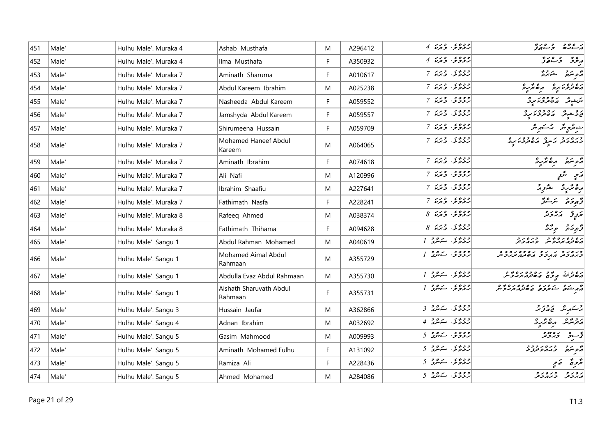| 451 | Male' | Hulhu Male'. Muraka 4 | Ashab Musthafa                     | M         | A296412 | وووی ویژنا 4              | ر مدیره<br>چ پە ئەمۇ                                                   |
|-----|-------|-----------------------|------------------------------------|-----------|---------|---------------------------|------------------------------------------------------------------------|
| 452 | Male' | Hulhu Male'. Muraka 4 | Ilma Musthafa                      | F         | A350932 | ووي ويزنا 4               | ج مەيرى <del>د</del><br>ەر بۇرگ                                        |
| 453 | Male' | Hulhu Male'. Muraka 7 | Aminath Sharuma                    | F         | A010617 | ووي وري <sub>د</sub> 7    | أوريتهم المشاور                                                        |
| 454 | Male' | Hulhu Male'. Muraka 7 | Abdul Kareem Ibrahim               | M         | A025238 | وووي ونړ <i>ن 7</i>       | גפננית פיני                                                            |
| 455 | Male' | Hulhu Male'. Muraka 7 | Nasheeda Abdul Kareem              | F         | A059552 | ووي ويرد 7                | ر د ده د ده ده د و د د د                                               |
| 456 | Male' | Hulhu Male'. Muraka 7 | Jamshyda Abdul Kareem              | F.        | A059557 | ووي ورړ 7                 | ره شوتر ده ده در ح<br>ایج ژشوتر ماه ترو تا برد                         |
| 457 | Male' | Hulhu Male'. Muraka 7 | Shirumeena Hussain                 | F         | A059709 | وووي ونړي 7               | جويژوپنگ برگسترينگر                                                    |
| 458 | Male' | Hulhu Male'. Muraka 7 | Mohamed Haneef Abdul<br>Kareem     | ${\sf M}$ | A064065 | ووي وري <sub>د</sub> 7    | ورەر دېر سروپ رە دەر برە                                               |
| 459 | Male' | Hulhu Male', Muraka 7 | Aminath Ibrahim                    | F         | A074618 | وووي ونړي 7               | ەھ ئەرب<br>لأحرسكم                                                     |
| 460 | Male' | Hulhu Male'. Muraka 7 | Ali Nafi                           | M         | A120996 | ووي وري <sub>د</sub> 7    | ىتزىمچ<br>ارتمعيه                                                      |
| 461 | Male' | Hulhu Male'. Muraka 7 | Ibrahim Shaafiu                    | M         | A227641 | ووي ور <sup>ي</sup> د 7   | وە ئۈرۈ<br>ځنورگر                                                      |
| 462 | Male' | Hulhu Male'. Muraka 7 | Fathimath Nasfa                    | F.        | A228241 | وووي ونړي 7               | ىئرمەتتى<br>ۇ ب <sub>و</sub> ر د                                       |
| 463 | Male' | Hulhu Male'. Muraka 8 | Rafeeq Ahmed                       | M         | A038374 | 8.72.5.5                  | برَوٍ يَنْ دَرَ دَرَ                                                   |
| 464 | Male' | Hulhu Male'. Muraka 8 | Fathimath Thihama                  | F         | A094628 | وووی ویرز 8               | وجوختم ورمح                                                            |
| 465 | Male' | Hulhu Male'. Sangu 1  | Abdul Rahman Mohamed               | M         | A040619 | 32°، سەھرى 1              | נסכסנסג' כנסנכ<br>השנה <i>גיבית כי</i> הכנ                             |
| 466 | Male' | Hulhu Male'. Sangu 1  | Mohamed Aimal Abdul<br>Rahmaan     | M         | A355729 | رووي. سەمبر 1             | כנסנכ נגבב נסכםנספים<br>במ <mark>תכת ההכי</mark> ב השתנ <i>התה</i> כית |
| 467 | Male' | Hulhu Male'. Sangu 1  | Abdulla Evaz Abdul Rahmaan         | M         | A355730 | د د دي. سه مدينه          | رووالله مروی مصرم مرور                                                 |
| 468 | Male' | Hulhu Male'. Sangu 1  | Aishath Sharuvath Abdul<br>Rahmaan | F         | A355731 | د د دی. س <i>ت</i> مبر 1  | ه در در در در ده ده ده می<br>مگرشوی شوندوی مان تورند تر                |
| 469 | Male' | Hulhu Male'. Sangu 3  | Hussain Jaufar                     | ${\sf M}$ | A362866 | د دوي. ش <i>م</i> شي 3    | جرستهر شرور و                                                          |
| 470 | Male' | Hulhu Male'. Sangu 4  | Adnan Ibrahim                      | M         | A032692 | وووي شەھرىي 4             | גרבפ השתיק                                                             |
| 471 | Male' | Hulhu Male'. Sangu 5  | Gasim Mahmood                      | M         | A009993 | د دي. س <i>ت</i> مبرج 5   | تۇسىۋ<br>ر ه دو و<br>تربر <del>و</del> تر                              |
| 472 | Male' | Hulhu Male'. Sangu 5  | Aminath Mohamed Fulhu              | F         | A131092 | رووي. سەمب <sup>ى 5</sup> | ړٌ د سَره ٍ                                                            |
| 473 | Male' | Hulhu Male'. Sangu 5  | Ramiza Ali                         | F         | A228436 | رووي. سەمب <sup>ى 5</sup> | بَرَّحرِيَّ مَرْمٍ                                                     |
| 474 | Male' | Hulhu Male'. Sangu 5  | Ahmed Mohamed                      | ${\sf M}$ | A284086 | 3 كىلەر ئەسىر بىرى 3 كىل  | ر ور د در در د                                                         |
|     |       |                       |                                    |           |         |                           |                                                                        |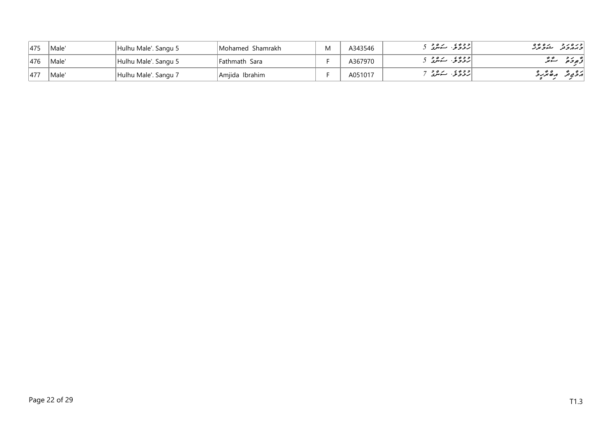| 475 | Male | Hulhu Male'. Sangu 5 | Mohamed Shamrakh | M | A343546 | زودو، سەھ د      | شەۋ تۇر<br>و رە ر د<br><i>د بر</i> كەر                          |
|-----|------|----------------------|------------------|---|---------|------------------|-----------------------------------------------------------------|
| 476 | Male | Hulhu Male'. Sangu 5 | Fathmath Sara    |   | A367970 | زوځ د سنگرو د    | ئەنتىر<br>وجوحرمو                                               |
| 477 | Male | Hulhu Male'. Sangu 7 | Amjida Ibrahim   |   | A051017 | د د د و د  مصر د | $\sim$<br>$\circ$ $\circ$ $\circ$<br>برن مور تر<br>ہر تر قع قتر |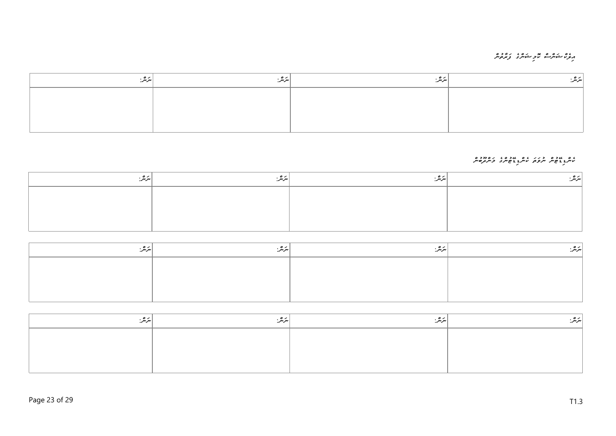## *w7qAn8m? sCw7mRo>u; wEw7mRw;sBo<*

| ' مرمر | 'يئرىثر: |
|--------|----------|
|        |          |
|        |          |
|        |          |

## *w7q9r@w7m> sCw7qHtFoFw7s; mAm=q7 w7qHtFoFw7s;*

| ىر تە | $\mathcal{O} \times$<br>$\sim$ | $\sim$<br>. . | لترنثر |
|-------|--------------------------------|---------------|--------|
|       |                                |               |        |
|       |                                |               |        |
|       |                                |               |        |

| انترنثر: | $^{\circ}$ | يبرهر | $^{\circ}$<br>سرسر |
|----------|------------|-------|--------------------|
|          |            |       |                    |
|          |            |       |                    |
|          |            |       |                    |

| ىرتىر: | 。<br>سر سر | .,<br>مرسر |
|--------|------------|------------|
|        |            |            |
|        |            |            |
|        |            |            |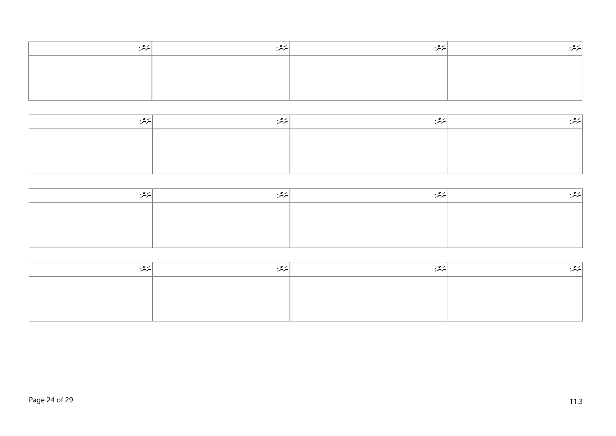| يزهر | $^{\circ}$ | ىئرىتر: |  |
|------|------------|---------|--|
|      |            |         |  |
|      |            |         |  |
|      |            |         |  |

| <sup>.</sup> سرسر. |  |
|--------------------|--|
|                    |  |
|                    |  |
|                    |  |

| ىر تە | $\sim$ | ا بر هر: | $^{\circ}$<br>' سرسر. |
|-------|--------|----------|-----------------------|
|       |        |          |                       |
|       |        |          |                       |
|       |        |          |                       |

| $\overline{\phantom{a}}$<br>سرس | ر ه<br>,,, | . . | 。<br>سرس. |
|---------------------------------|------------|-----|-----------|
|                                 |            |     |           |
|                                 |            |     |           |
|                                 |            |     |           |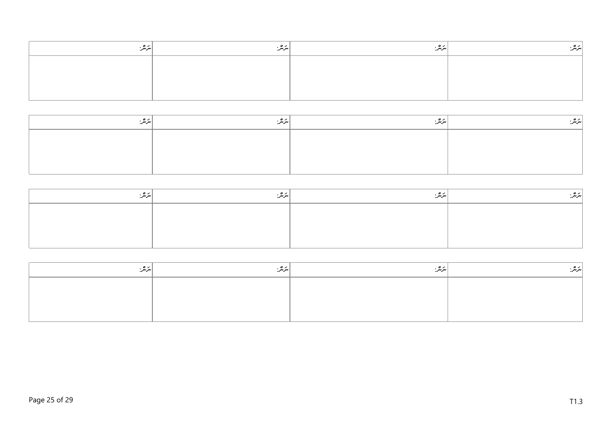| ير هو . | $\overline{\phantom{a}}$ | يرمر | اير هنه. |
|---------|--------------------------|------|----------|
|         |                          |      |          |
|         |                          |      |          |
|         |                          |      |          |

| ىر تىر: | $\circ$ $\sim$<br>" سرسر . | يبرحه | o . |
|---------|----------------------------|-------|-----|
|         |                            |       |     |
|         |                            |       |     |
|         |                            |       |     |

| 'تترنثر: | 。<br>,,,, |  |
|----------|-----------|--|
|          |           |  |
|          |           |  |
|          |           |  |

|  | . ه |
|--|-----|
|  |     |
|  |     |
|  |     |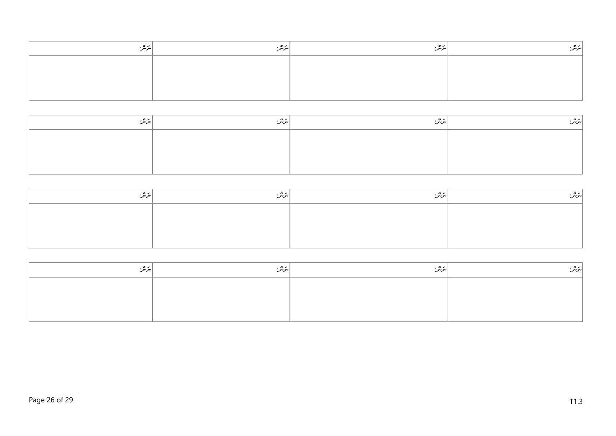| ير هو . | $\overline{\phantom{a}}$ | يرمر | اير هنه. |
|---------|--------------------------|------|----------|
|         |                          |      |          |
|         |                          |      |          |
|         |                          |      |          |

| ئىرتىر: | $\sim$<br>ا سرسر . | يئرمثر | o . |
|---------|--------------------|--------|-----|
|         |                    |        |     |
|         |                    |        |     |
|         |                    |        |     |

| 'تترنثر: | 。<br>,,,, |  |
|----------|-----------|--|
|          |           |  |
|          |           |  |
|          |           |  |

|  | . ه |
|--|-----|
|  |     |
|  |     |
|  |     |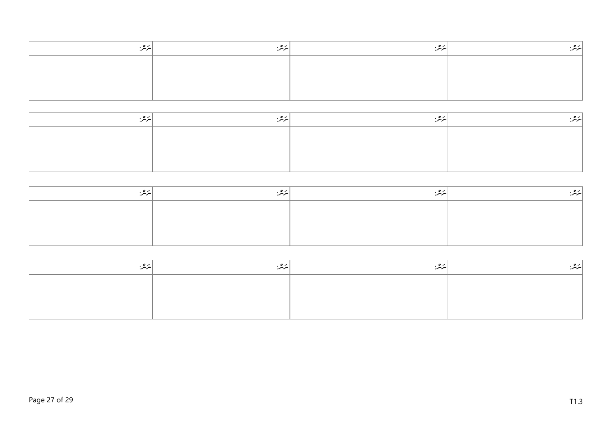| $\cdot$ | ο. | $\frac{\circ}{\cdot}$ | $\sim$<br>سرسر |
|---------|----|-----------------------|----------------|
|         |    |                       |                |
|         |    |                       |                |
|         |    |                       |                |

| ايرعر: | ر ه<br>. . |  |
|--------|------------|--|
|        |            |  |
|        |            |  |
|        |            |  |

| بر ه | 。 | $\overline{\phantom{0}}$<br>َ سومس |  |
|------|---|------------------------------------|--|
|      |   |                                    |  |
|      |   |                                    |  |
|      |   |                                    |  |

| 。<br>. س | ىرىىر |  |
|----------|-------|--|
|          |       |  |
|          |       |  |
|          |       |  |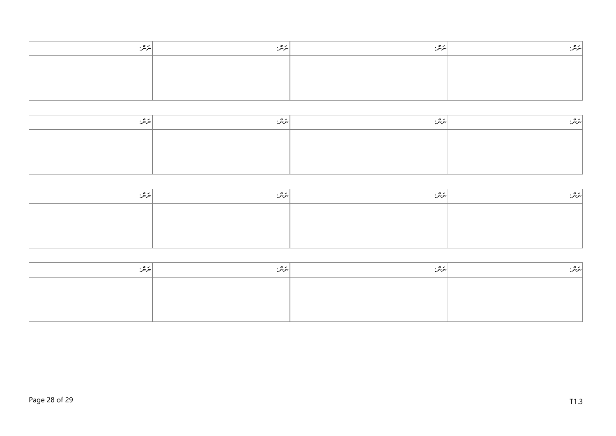| ير هو . | $\overline{\phantom{a}}$ | يرمر | لتزمثن |
|---------|--------------------------|------|--------|
|         |                          |      |        |
|         |                          |      |        |
|         |                          |      |        |

| ىر تىر: | $\circ$ $\sim$<br>" سرسر . | يبرحه | o . |
|---------|----------------------------|-------|-----|
|         |                            |       |     |
|         |                            |       |     |
|         |                            |       |     |

| انترنثر: | ر ه |  |
|----------|-----|--|
|          |     |  |
|          |     |  |
|          |     |  |

|  | . ه |
|--|-----|
|  |     |
|  |     |
|  |     |